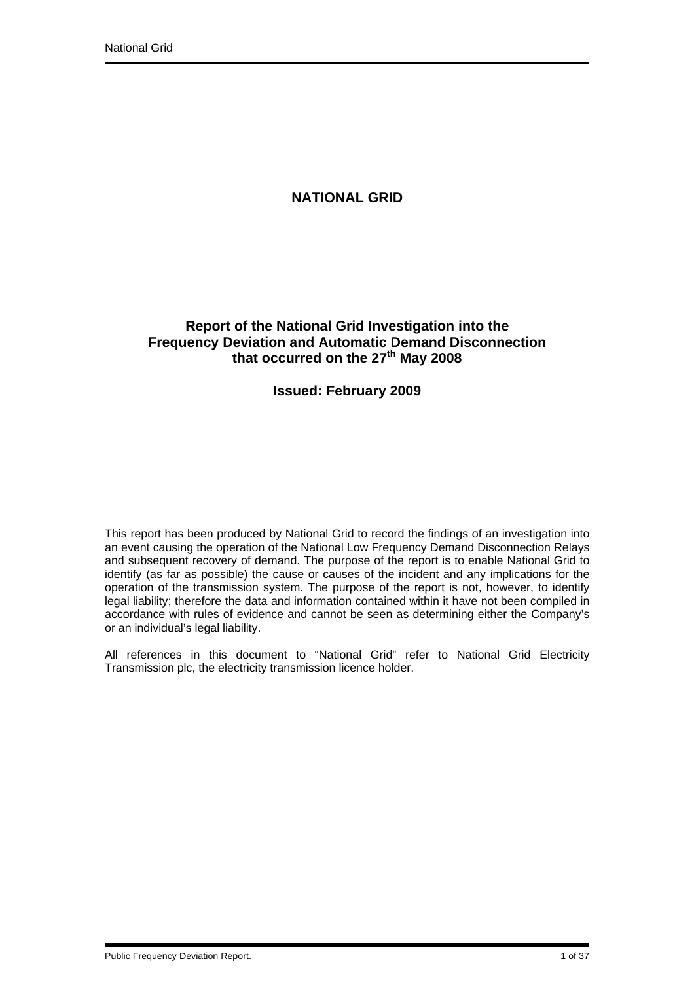# **NATIONAL GRID**

# **Report of the National Grid Investigation into the Frequency Deviation and Automatic Demand Disconnection**  that occurred on the 27<sup>th</sup> May 2008

# **Issued: February 2009**

This report has been produced by National Grid to record the findings of an investigation into an event causing the operation of the National Low Frequency Demand Disconnection Relays and subsequent recovery of demand. The purpose of the report is to enable National Grid to identify (as far as possible) the cause or causes of the incident and any implications for the operation of the transmission system. The purpose of the report is not, however, to identify legal liability; therefore the data and information contained within it have not been compiled in accordance with rules of evidence and cannot be seen as determining either the Company's or an individual's legal liability.

All references in this document to "National Grid" refer to National Grid Electricity Transmission plc, the electricity transmission licence holder.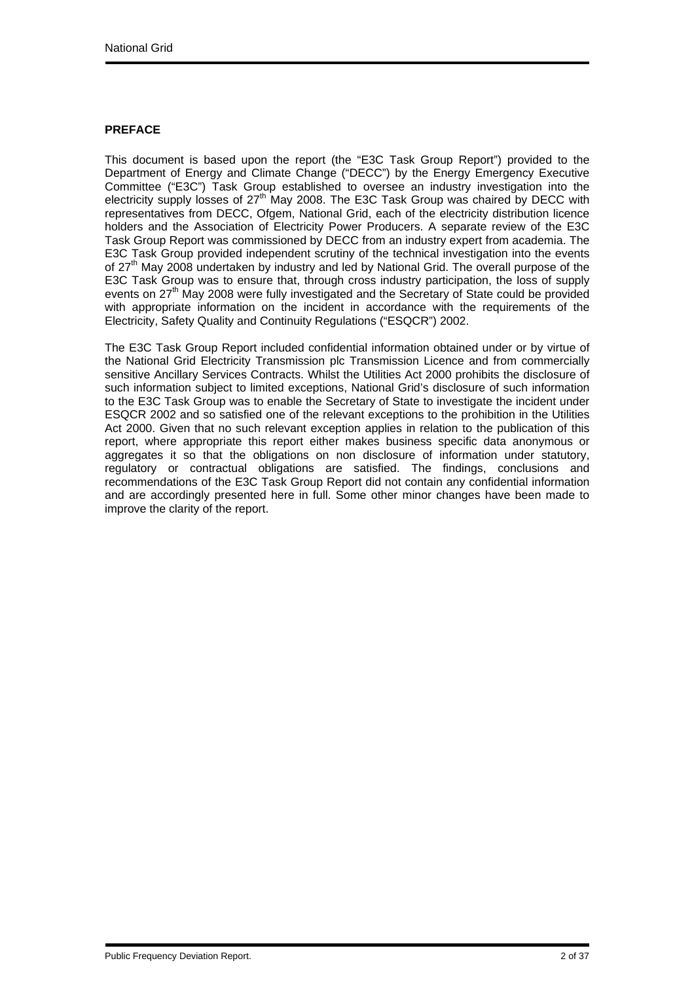## **PREFACE**

This document is based upon the report (the "E3C Task Group Report") provided to the Department of Energy and Climate Change ("DECC") by the Energy Emergency Executive Committee ("E3C") Task Group established to oversee an industry investigation into the electricity supply losses of  $27<sup>th</sup>$  May 2008. The E3C Task Group was chaired by DECC with representatives from DECC, Ofgem, National Grid, each of the electricity distribution licence holders and the Association of Electricity Power Producers. A separate review of the E3C Task Group Report was commissioned by DECC from an industry expert from academia. The E3C Task Group provided independent scrutiny of the technical investigation into the events of 27<sup>th</sup> May 2008 undertaken by industry and led by National Grid. The overall purpose of the E3C Task Group was to ensure that, through cross industry participation, the loss of supply events on 27<sup>th</sup> May 2008 were fully investigated and the Secretary of State could be provided with appropriate information on the incident in accordance with the requirements of the Electricity, Safety Quality and Continuity Regulations ("ESQCR") 2002.

The E3C Task Group Report included confidential information obtained under or by virtue of the National Grid Electricity Transmission plc Transmission Licence and from commercially sensitive Ancillary Services Contracts. Whilst the Utilities Act 2000 prohibits the disclosure of such information subject to limited exceptions, National Grid's disclosure of such information to the E3C Task Group was to enable the Secretary of State to investigate the incident under ESQCR 2002 and so satisfied one of the relevant exceptions to the prohibition in the Utilities Act 2000. Given that no such relevant exception applies in relation to the publication of this report, where appropriate this report either makes business specific data anonymous or aggregates it so that the obligations on non disclosure of information under statutory, regulatory or contractual obligations are satisfied. The findings, conclusions and recommendations of the E3C Task Group Report did not contain any confidential information and are accordingly presented here in full. Some other minor changes have been made to improve the clarity of the report.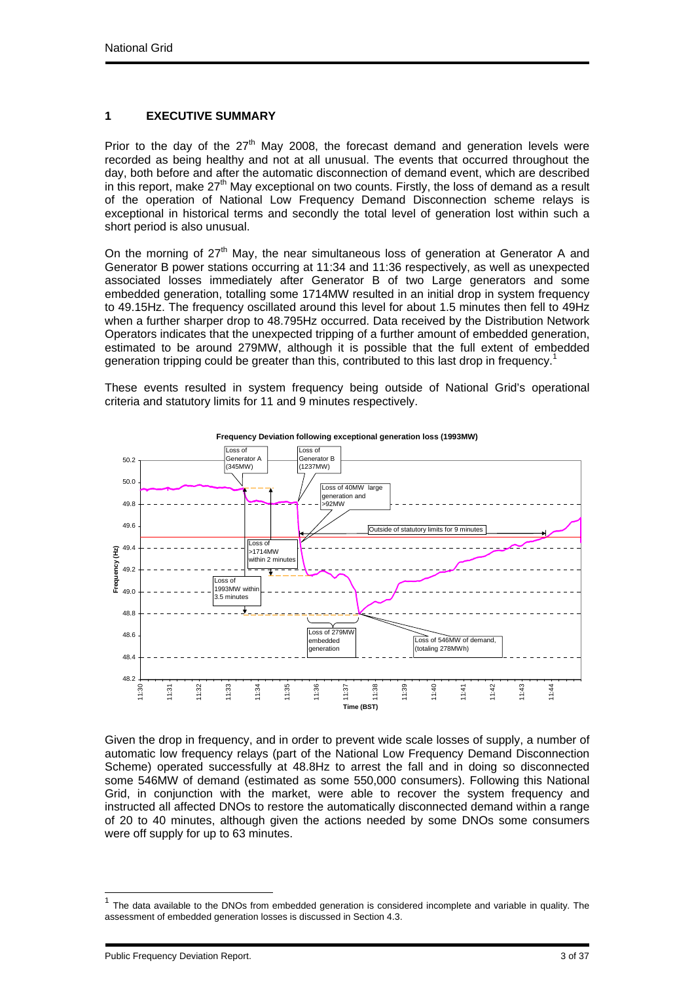## **1 EXECUTIVE SUMMARY**

Prior to the day of the  $27<sup>th</sup>$  May 2008, the forecast demand and generation levels were recorded as being healthy and not at all unusual. The events that occurred throughout the day, both before and after the automatic disconnection of demand event, which are described in this report, make  $27<sup>th</sup>$  May exceptional on two counts. Firstly, the loss of demand as a result of the operation of National Low Frequency Demand Disconnection scheme relays is exceptional in historical terms and secondly the total level of generation lost within such a short period is also unusual.

On the morning of  $27<sup>th</sup>$  May, the near simultaneous loss of generation at Generator A and Generator B power stations occurring at 11:34 and 11:36 respectively, as well as unexpected associated losses immediately after Generator B of two Large generators and some embedded generation, totalling some 1714MW resulted in an initial drop in system frequency to 49.15Hz. The frequency oscillated around this level for about 1.5 minutes then fell to 49Hz when a further sharper drop to 48.795Hz occurred. Data received by the Distribution Network Operators indicates that the unexpected tripping of a further amount of embedded generation, estimated to be around 279MW, although it is possible that the full extent of embedded generation tripping could be greater than this, contributed to this last drop in frequency.<sup>1</sup>

These events resulted in system frequency being outside of National Grid's operational criteria and statutory limits for 11 and 9 minutes respectively.



Given the drop in frequency, and in order to prevent wide scale losses of supply, a number of automatic low frequency relays (part of the National Low Frequency Demand Disconnection Scheme) operated successfully at 48.8Hz to arrest the fall and in doing so disconnected some 546MW of demand (estimated as some 550,000 consumers). Following this National Grid, in conjunction with the market, were able to recover the system frequency and instructed all affected DNOs to restore the automatically disconnected demand within a range of 20 to 40 minutes, although given the actions needed by some DNOs some consumers

Public Frequency Deviation Report. 3 of 37

l

were off supply for up to 63 minutes.

 $1$  The data available to the DNOs from embedded generation is considered incomplete and variable in quality. The assessment of embedded generation losses is discussed in Section 4.3.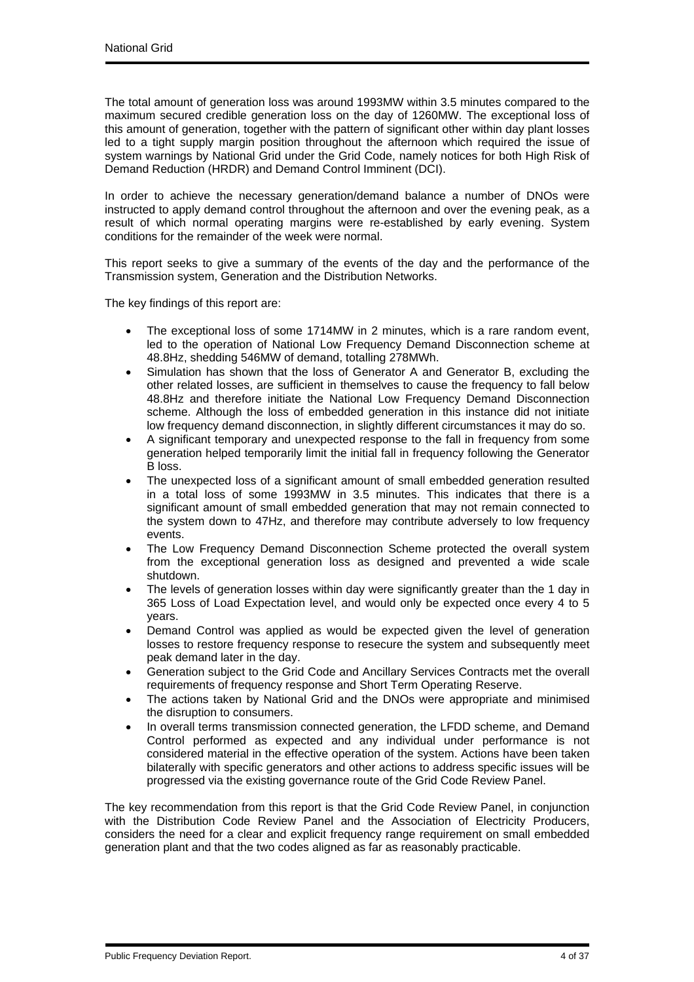The total amount of generation loss was around 1993MW within 3.5 minutes compared to the maximum secured credible generation loss on the day of 1260MW. The exceptional loss of this amount of generation, together with the pattern of significant other within day plant losses led to a tight supply margin position throughout the afternoon which required the issue of system warnings by National Grid under the Grid Code, namely notices for both High Risk of Demand Reduction (HRDR) and Demand Control Imminent (DCI).

In order to achieve the necessary generation/demand balance a number of DNOs were instructed to apply demand control throughout the afternoon and over the evening peak, as a result of which normal operating margins were re-established by early evening. System conditions for the remainder of the week were normal.

This report seeks to give a summary of the events of the day and the performance of the Transmission system, Generation and the Distribution Networks.

The key findings of this report are:

- The exceptional loss of some 1714MW in 2 minutes, which is a rare random event. led to the operation of National Low Frequency Demand Disconnection scheme at 48.8Hz, shedding 546MW of demand, totalling 278MWh.
- Simulation has shown that the loss of Generator A and Generator B, excluding the other related losses, are sufficient in themselves to cause the frequency to fall below 48.8Hz and therefore initiate the National Low Frequency Demand Disconnection scheme. Although the loss of embedded generation in this instance did not initiate low frequency demand disconnection, in slightly different circumstances it may do so.
- A significant temporary and unexpected response to the fall in frequency from some generation helped temporarily limit the initial fall in frequency following the Generator B loss.
- The unexpected loss of a significant amount of small embedded generation resulted in a total loss of some 1993MW in 3.5 minutes. This indicates that there is a significant amount of small embedded generation that may not remain connected to the system down to 47Hz, and therefore may contribute adversely to low frequency events.
- The Low Frequency Demand Disconnection Scheme protected the overall system from the exceptional generation loss as designed and prevented a wide scale shutdown.
- The levels of generation losses within day were significantly greater than the 1 day in 365 Loss of Load Expectation level, and would only be expected once every 4 to 5 years.
- Demand Control was applied as would be expected given the level of generation losses to restore frequency response to resecure the system and subsequently meet peak demand later in the day.
- Generation subject to the Grid Code and Ancillary Services Contracts met the overall requirements of frequency response and Short Term Operating Reserve.
- The actions taken by National Grid and the DNOs were appropriate and minimised the disruption to consumers.
- In overall terms transmission connected generation, the LFDD scheme, and Demand Control performed as expected and any individual under performance is not considered material in the effective operation of the system. Actions have been taken bilaterally with specific generators and other actions to address specific issues will be progressed via the existing governance route of the Grid Code Review Panel.

The key recommendation from this report is that the Grid Code Review Panel, in conjunction with the Distribution Code Review Panel and the Association of Electricity Producers, considers the need for a clear and explicit frequency range requirement on small embedded generation plant and that the two codes aligned as far as reasonably practicable.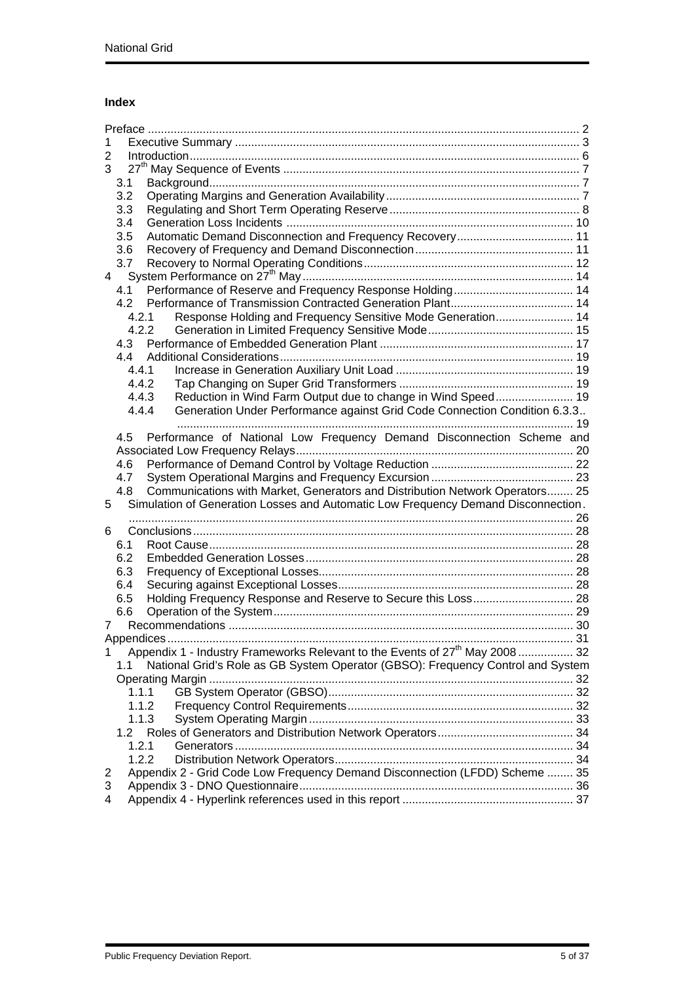# **Index**

| 1      |                                                                                          |  |  |  |  |  |
|--------|------------------------------------------------------------------------------------------|--|--|--|--|--|
| 2      |                                                                                          |  |  |  |  |  |
| 3      |                                                                                          |  |  |  |  |  |
|        | 3.1                                                                                      |  |  |  |  |  |
|        | 3.2                                                                                      |  |  |  |  |  |
|        | 3.3                                                                                      |  |  |  |  |  |
|        | 3.4                                                                                      |  |  |  |  |  |
|        | Automatic Demand Disconnection and Frequency Recovery 11<br>3.5                          |  |  |  |  |  |
|        | 3.6                                                                                      |  |  |  |  |  |
|        | 3.7                                                                                      |  |  |  |  |  |
| 4      |                                                                                          |  |  |  |  |  |
|        | Performance of Reserve and Frequency Response Holding 14<br>4.1                          |  |  |  |  |  |
|        | 4.2                                                                                      |  |  |  |  |  |
|        | Response Holding and Frequency Sensitive Mode Generation 14<br>4.2.1                     |  |  |  |  |  |
|        | 4.2.2                                                                                    |  |  |  |  |  |
|        | 4.3                                                                                      |  |  |  |  |  |
|        | 4.4                                                                                      |  |  |  |  |  |
|        | 4.4.1                                                                                    |  |  |  |  |  |
|        | 4.4.2                                                                                    |  |  |  |  |  |
|        | Reduction in Wind Farm Output due to change in Wind Speed 19<br>4.4.3                    |  |  |  |  |  |
|        | Generation Under Performance against Grid Code Connection Condition 6.3.3<br>4.4.4       |  |  |  |  |  |
|        | Performance of National Low Frequency Demand Disconnection Scheme and<br>4.5             |  |  |  |  |  |
|        |                                                                                          |  |  |  |  |  |
|        | 4.6                                                                                      |  |  |  |  |  |
|        | 4.7                                                                                      |  |  |  |  |  |
|        | Communications with Market, Generators and Distribution Network Operators 25<br>4.8      |  |  |  |  |  |
| 5      | Simulation of Generation Losses and Automatic Low Frequency Demand Disconnection.        |  |  |  |  |  |
|        |                                                                                          |  |  |  |  |  |
| 6      |                                                                                          |  |  |  |  |  |
|        | 6.1                                                                                      |  |  |  |  |  |
|        | 6.2                                                                                      |  |  |  |  |  |
|        | 6.3                                                                                      |  |  |  |  |  |
|        | 6.4                                                                                      |  |  |  |  |  |
|        | Holding Frequency Response and Reserve to Secure this Loss 28<br>6.5                     |  |  |  |  |  |
|        | 6.6                                                                                      |  |  |  |  |  |
| 7      |                                                                                          |  |  |  |  |  |
|        |                                                                                          |  |  |  |  |  |
| 1      | Appendix 1 - Industry Frameworks Relevant to the Events of 27 <sup>th</sup> May 2008  32 |  |  |  |  |  |
|        | National Grid's Role as GB System Operator (GBSO): Frequency Control and System<br>1.1   |  |  |  |  |  |
|        |                                                                                          |  |  |  |  |  |
|        | 1.1.1                                                                                    |  |  |  |  |  |
|        | 1.1.2                                                                                    |  |  |  |  |  |
|        |                                                                                          |  |  |  |  |  |
|        | 1.1.3                                                                                    |  |  |  |  |  |
|        | 1.2                                                                                      |  |  |  |  |  |
|        | 1.2.1                                                                                    |  |  |  |  |  |
|        | 1.2.2                                                                                    |  |  |  |  |  |
| 2      | Appendix 2 - Grid Code Low Frequency Demand Disconnection (LFDD) Scheme  35              |  |  |  |  |  |
| 3<br>4 |                                                                                          |  |  |  |  |  |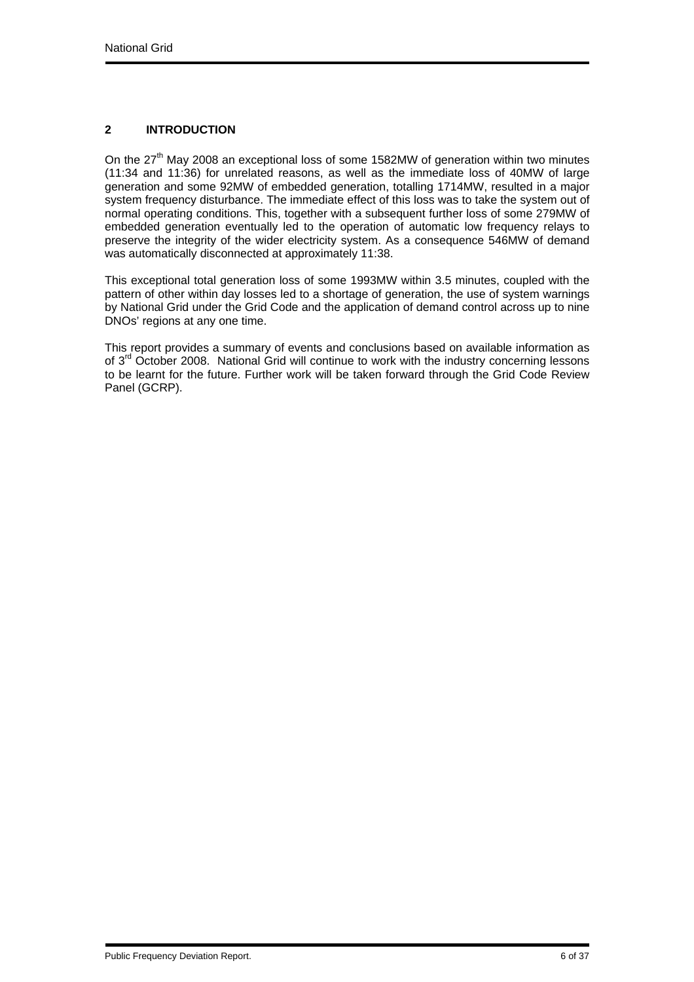## **2 INTRODUCTION**

On the  $27<sup>th</sup>$  May 2008 an exceptional loss of some 1582MW of generation within two minutes (11:34 and 11:36) for unrelated reasons, as well as the immediate loss of 40MW of large generation and some 92MW of embedded generation, totalling 1714MW, resulted in a major system frequency disturbance. The immediate effect of this loss was to take the system out of normal operating conditions. This, together with a subsequent further loss of some 279MW of embedded generation eventually led to the operation of automatic low frequency relays to preserve the integrity of the wider electricity system. As a consequence 546MW of demand was automatically disconnected at approximately 11:38.

This exceptional total generation loss of some 1993MW within 3.5 minutes, coupled with the pattern of other within day losses led to a shortage of generation, the use of system warnings by National Grid under the Grid Code and the application of demand control across up to nine DNOs' regions at any one time.

This report provides a summary of events and conclusions based on available information as of 3<sup>rd</sup> October 2008. National Grid will continue to work with the industry concerning lessons to be learnt for the future. Further work will be taken forward through the Grid Code Review Panel (GCRP).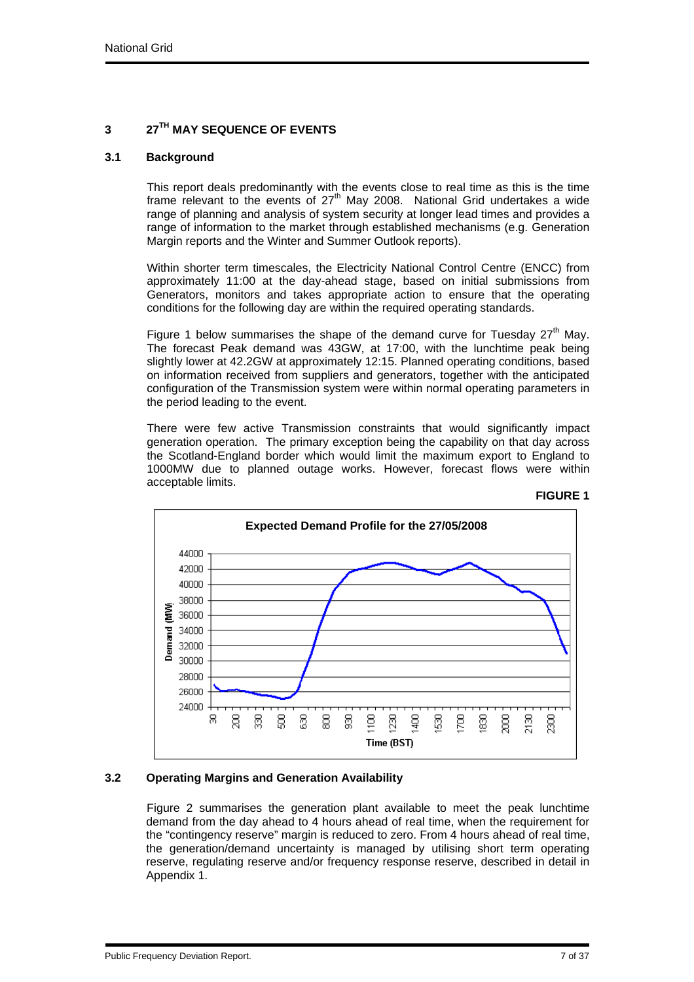## **3 27TH MAY SEQUENCE OF EVENTS**

## **3.1 Background**

This report deals predominantly with the events close to real time as this is the time frame relevant to the events of  $27<sup>th</sup>$  May 2008. National Grid undertakes a wide range of planning and analysis of system security at longer lead times and provides a range of information to the market through established mechanisms (e.g. Generation Margin reports and the Winter and Summer Outlook reports).

Within shorter term timescales, the Electricity National Control Centre (ENCC) from approximately 11:00 at the day-ahead stage, based on initial submissions from Generators, monitors and takes appropriate action to ensure that the operating conditions for the following day are within the required operating standards.

Figure 1 below summarises the shape of the demand curve for Tuesday  $27<sup>th</sup>$  May. The forecast Peak demand was 43GW, at 17:00, with the lunchtime peak being slightly lower at 42.2GW at approximately 12:15. Planned operating conditions, based on information received from suppliers and generators, together with the anticipated configuration of the Transmission system were within normal operating parameters in the period leading to the event.

There were few active Transmission constraints that would significantly impact generation operation. The primary exception being the capability on that day across the Scotland-England border which would limit the maximum export to England to 1000MW due to planned outage works. However, forecast flows were within acceptable limits.



# **FIGURE 1**

## **3.2 Operating Margins and Generation Availability**

Figure 2 summarises the generation plant available to meet the peak lunchtime demand from the day ahead to 4 hours ahead of real time, when the requirement for the "contingency reserve" margin is reduced to zero. From 4 hours ahead of real time, the generation/demand uncertainty is managed by utilising short term operating reserve, regulating reserve and/or frequency response reserve, described in detail in Appendix 1.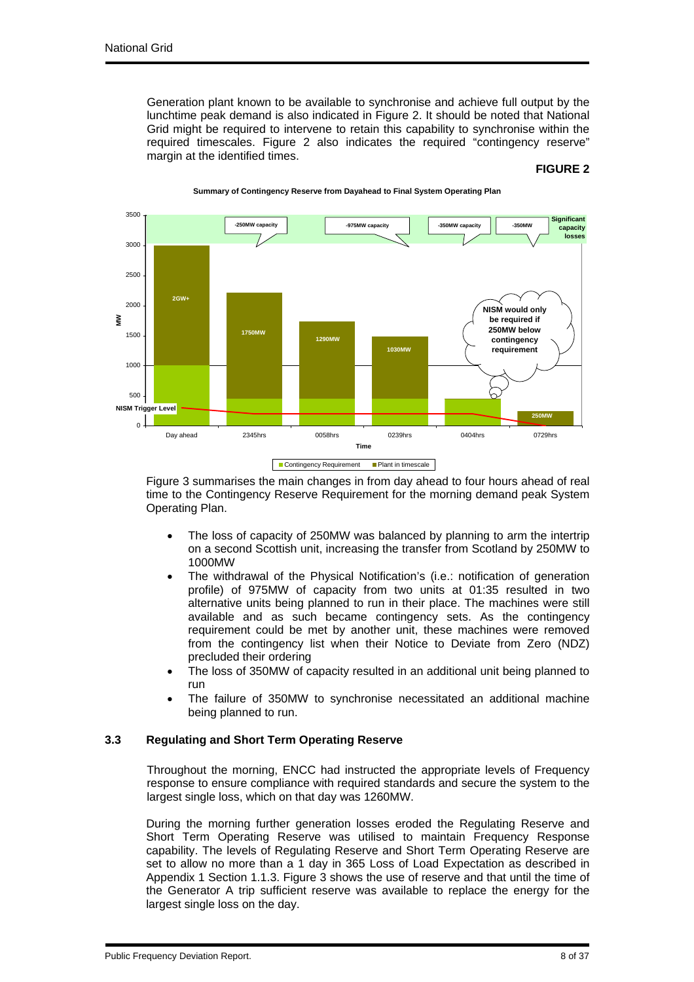Generation plant known to be available to synchronise and achieve full output by the lunchtime peak demand is also indicated in Figure 2. It should be noted that National Grid might be required to intervene to retain this capability to synchronise within the required timescales. Figure 2 also indicates the required "contingency reserve" margin at the identified times.

#### **FIGURE 2**



**Summary of Contingency Reserve from Dayahead to Final System Operating Plan**

Figure 3 summarises the main changes in from day ahead to four hours ahead of real time to the Contingency Reserve Requirement for the morning demand peak System Operating Plan.

- The loss of capacity of 250MW was balanced by planning to arm the intertrip on a second Scottish unit, increasing the transfer from Scotland by 250MW to 1000MW
- The withdrawal of the Physical Notification's (i.e.: notification of generation profile) of 975MW of capacity from two units at 01:35 resulted in two alternative units being planned to run in their place. The machines were still available and as such became contingency sets. As the contingency requirement could be met by another unit, these machines were removed from the contingency list when their Notice to Deviate from Zero (NDZ) precluded their ordering
- The loss of 350MW of capacity resulted in an additional unit being planned to run
- The failure of 350MW to synchronise necessitated an additional machine being planned to run.

## **3.3 Regulating and Short Term Operating Reserve**

Throughout the morning, ENCC had instructed the appropriate levels of Frequency response to ensure compliance with required standards and secure the system to the largest single loss, which on that day was 1260MW.

During the morning further generation losses eroded the Regulating Reserve and Short Term Operating Reserve was utilised to maintain Frequency Response capability. The levels of Regulating Reserve and Short Term Operating Reserve are set to allow no more than a 1 day in 365 Loss of Load Expectation as described in Appendix 1 Section 1.1.3. Figure 3 shows the use of reserve and that until the time of the Generator A trip sufficient reserve was available to replace the energy for the largest single loss on the day.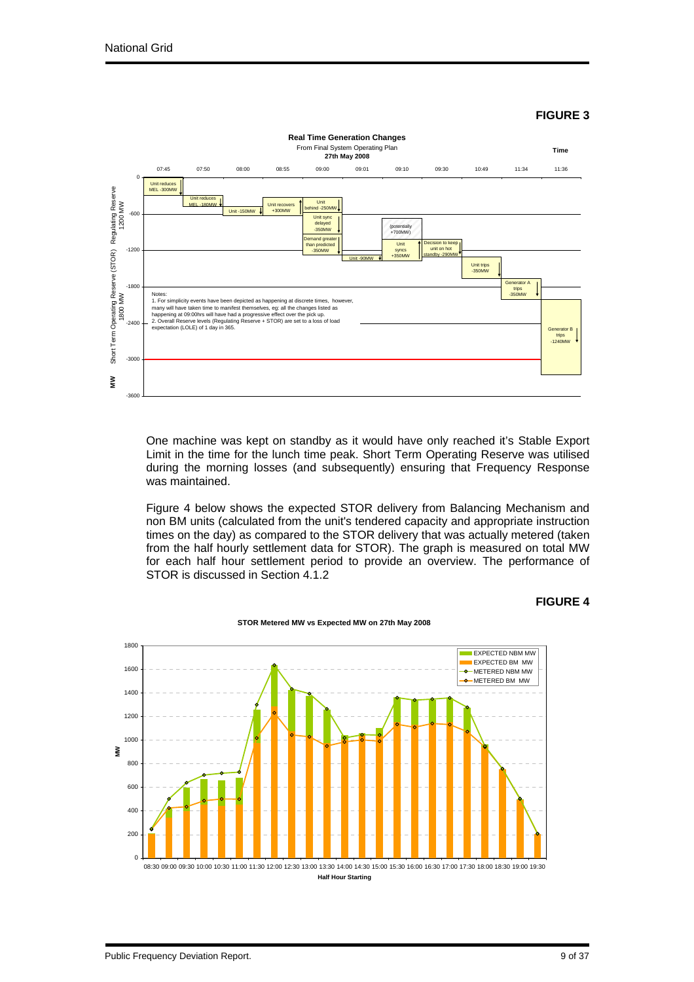## **FIGURE 3**



One machine was kept on standby as it would have only reached it's Stable Export Limit in the time for the lunch time peak. Short Term Operating Reserve was utilised during the morning losses (and subsequently) ensuring that Frequency Response was maintained.

Figure 4 below shows the expected STOR delivery from Balancing Mechanism and non BM units (calculated from the unit's tendered capacity and appropriate instruction times on the day) as compared to the STOR delivery that was actually metered (taken from the half hourly settlement data for STOR). The graph is measured on total MW for each half hour settlement period to provide an overview. The performance of STOR is discussed in Section 4.1.2



**STOR Metered MW vs Expected MW on 27th May 2008** 

**FIGURE 4**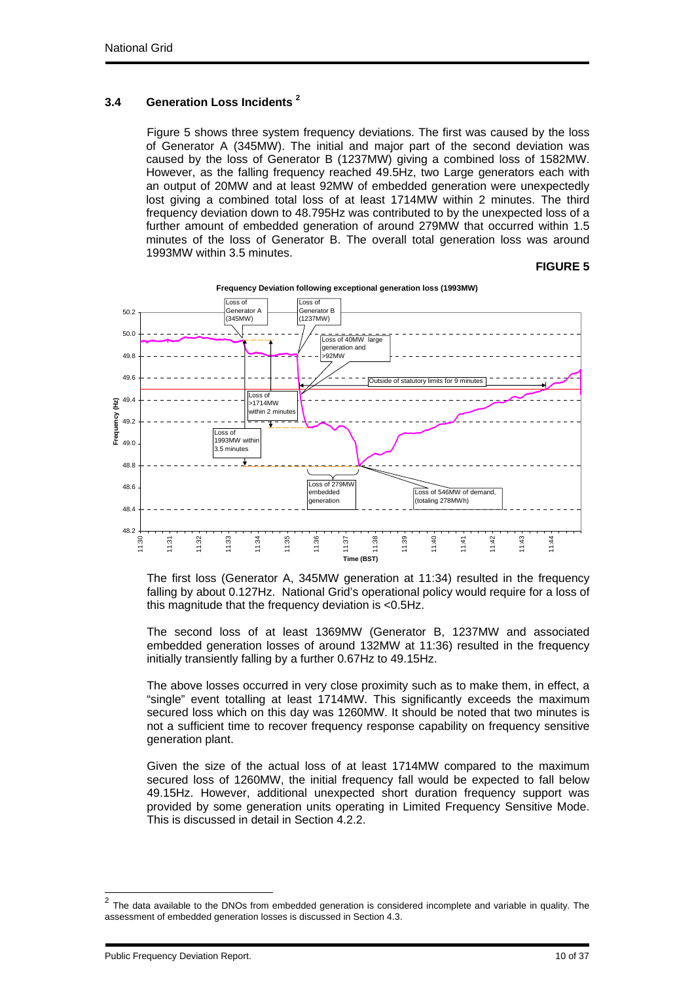## **3.4 Generation Loss Incidents 2**

Figure 5 shows three system frequency deviations. The first was caused by the loss of Generator A (345MW). The initial and major part of the second deviation was caused by the loss of Generator B (1237MW) giving a combined loss of 1582MW. However, as the falling frequency reached 49.5Hz, two Large generators each with an output of 20MW and at least 92MW of embedded generation were unexpectedly lost giving a combined total loss of at least 1714MW within 2 minutes. The third frequency deviation down to 48.795Hz was contributed to by the unexpected loss of a further amount of embedded generation of around 279MW that occurred within 1.5 minutes of the loss of Generator B. The overall total generation loss was around 1993MW within 3.5 minutes.

#### **FIGURE 5**



**Frequency Deviation following exceptional generation loss (1993MW)**

The first loss (Generator A, 345MW generation at 11:34) resulted in the frequency falling by about 0.127Hz. National Grid's operational policy would require for a loss of this magnitude that the frequency deviation is <0.5Hz.

The second loss of at least 1369MW (Generator B, 1237MW and associated embedded generation losses of around 132MW at 11:36) resulted in the frequency initially transiently falling by a further 0.67Hz to 49.15Hz.

The above losses occurred in very close proximity such as to make them, in effect, a "single" event totalling at least 1714MW. This significantly exceeds the maximum secured loss which on this day was 1260MW. It should be noted that two minutes is not a sufficient time to recover frequency response capability on frequency sensitive generation plant.

Given the size of the actual loss of at least 1714MW compared to the maximum secured loss of 1260MW, the initial frequency fall would be expected to fall below 49.15Hz. However, additional unexpected short duration frequency support was provided by some generation units operating in Limited Frequency Sensitive Mode. This is discussed in detail in Section 4.2.2.

l

 $2$  The data available to the DNOs from embedded generation is considered incomplete and variable in quality. The assessment of embedded generation losses is discussed in Section 4.3.

Public Frequency Deviation Report. 2008 10:00 10:00 10:00 10:00 10:00 10:00 10:00 10:00 10:00 10:00 10:00 10:0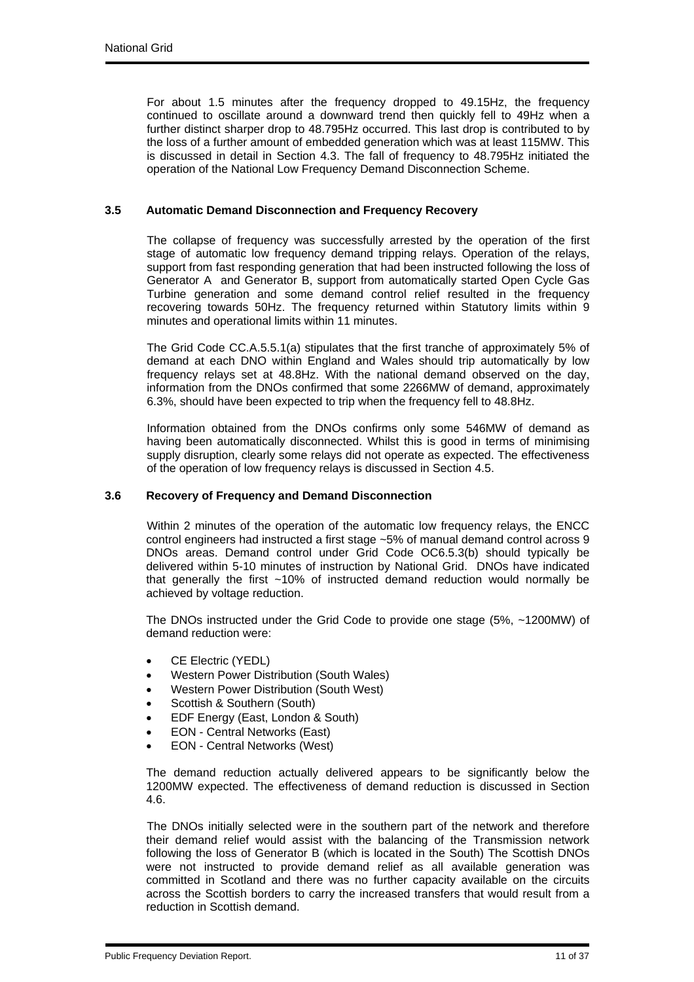For about 1.5 minutes after the frequency dropped to 49.15Hz, the frequency continued to oscillate around a downward trend then quickly fell to 49Hz when a further distinct sharper drop to 48.795Hz occurred. This last drop is contributed to by the loss of a further amount of embedded generation which was at least 115MW. This is discussed in detail in Section 4.3. The fall of frequency to 48.795Hz initiated the operation of the National Low Frequency Demand Disconnection Scheme.

## **3.5 Automatic Demand Disconnection and Frequency Recovery**

The collapse of frequency was successfully arrested by the operation of the first stage of automatic low frequency demand tripping relays. Operation of the relays, support from fast responding generation that had been instructed following the loss of Generator A and Generator B, support from automatically started Open Cycle Gas Turbine generation and some demand control relief resulted in the frequency recovering towards 50Hz. The frequency returned within Statutory limits within 9 minutes and operational limits within 11 minutes.

The Grid Code CC.A.5.5.1(a) stipulates that the first tranche of approximately 5% of demand at each DNO within England and Wales should trip automatically by low frequency relays set at 48.8Hz. With the national demand observed on the day, information from the DNOs confirmed that some 2266MW of demand, approximately 6.3%, should have been expected to trip when the frequency fell to 48.8Hz.

Information obtained from the DNOs confirms only some 546MW of demand as having been automatically disconnected. Whilst this is good in terms of minimising supply disruption, clearly some relays did not operate as expected. The effectiveness of the operation of low frequency relays is discussed in Section 4.5.

#### **3.6 Recovery of Frequency and Demand Disconnection**

Within 2 minutes of the operation of the automatic low frequency relays, the ENCC control engineers had instructed a first stage ~5% of manual demand control across 9 DNOs areas. Demand control under Grid Code OC6.5.3(b) should typically be delivered within 5-10 minutes of instruction by National Grid. DNOs have indicated that generally the first ~10% of instructed demand reduction would normally be achieved by voltage reduction.

The DNOs instructed under the Grid Code to provide one stage (5%, ~1200MW) of demand reduction were:

- CE Electric (YEDL)
- Western Power Distribution (South Wales)
- Western Power Distribution (South West)
- Scottish & Southern (South)
- EDF Energy (East, London & South)
- EON Central Networks (East)
- EON Central Networks (West)

The demand reduction actually delivered appears to be significantly below the 1200MW expected. The effectiveness of demand reduction is discussed in Section 4.6.

The DNOs initially selected were in the southern part of the network and therefore their demand relief would assist with the balancing of the Transmission network following the loss of Generator B (which is located in the South) The Scottish DNOs were not instructed to provide demand relief as all available generation was committed in Scotland and there was no further capacity available on the circuits across the Scottish borders to carry the increased transfers that would result from a reduction in Scottish demand.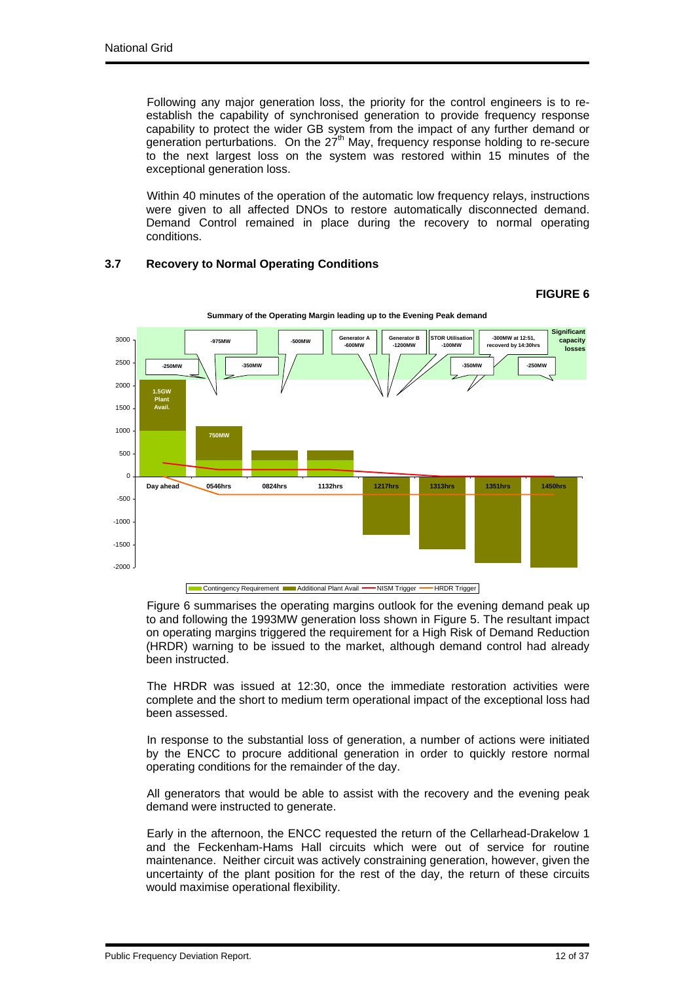Following any major generation loss, the priority for the control engineers is to reestablish the capability of synchronised generation to provide frequency response capability to protect the wider GB system from the impact of any further demand or generation perturbations. On the  $27<sup>th</sup>$  May, frequency response holding to re-secure to the next largest loss on the system was restored within 15 minutes of the exceptional generation loss.

Within 40 minutes of the operation of the automatic low frequency relays, instructions were given to all affected DNOs to restore automatically disconnected demand. Demand Control remained in place during the recovery to normal operating conditions.

## **3.7 Recovery to Normal Operating Conditions**

#### **FIGURE 6**



**Summary of the Operating Margin leading up to the Evening Peak demand**

Figure 6 summarises the operating margins outlook for the evening demand peak up to and following the 1993MW generation loss shown in Figure 5. The resultant impact on operating margins triggered the requirement for a High Risk of Demand Reduction (HRDR) warning to be issued to the market, although demand control had already been instructed.

The HRDR was issued at 12:30, once the immediate restoration activities were complete and the short to medium term operational impact of the exceptional loss had been assessed.

In response to the substantial loss of generation, a number of actions were initiated by the ENCC to procure additional generation in order to quickly restore normal operating conditions for the remainder of the day.

All generators that would be able to assist with the recovery and the evening peak demand were instructed to generate.

Early in the afternoon, the ENCC requested the return of the Cellarhead-Drakelow 1 and the Feckenham-Hams Hall circuits which were out of service for routine maintenance. Neither circuit was actively constraining generation, however, given the uncertainty of the plant position for the rest of the day, the return of these circuits would maximise operational flexibility.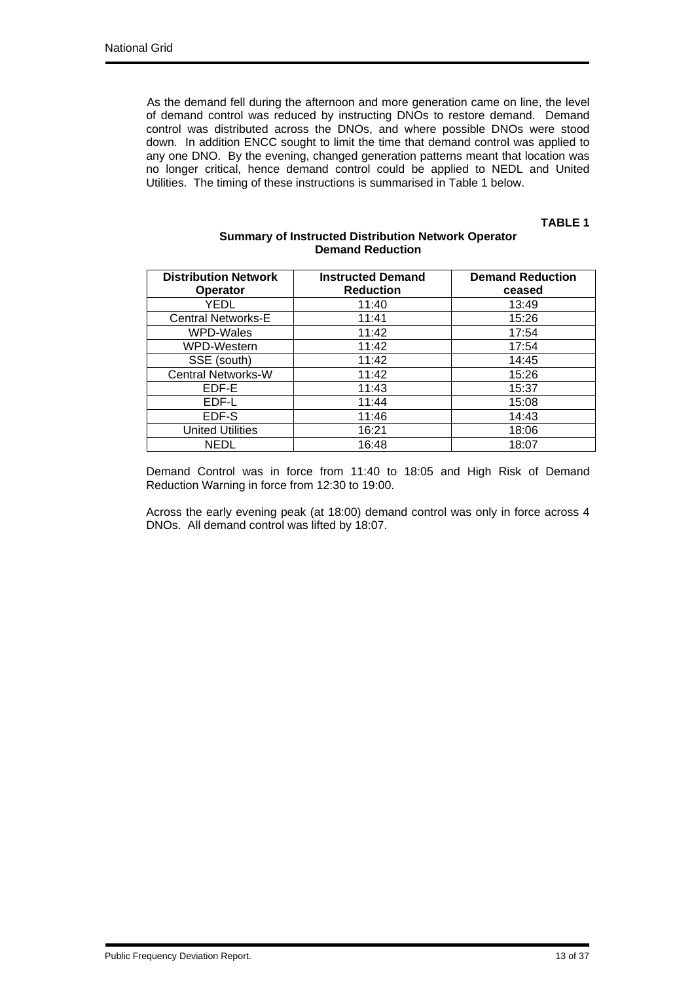As the demand fell during the afternoon and more generation came on line, the level of demand control was reduced by instructing DNOs to restore demand. Demand control was distributed across the DNOs, and where possible DNOs were stood down. In addition ENCC sought to limit the time that demand control was applied to any one DNO. By the evening, changed generation patterns meant that location was no longer critical, hence demand control could be applied to NEDL and United Utilities. The timing of these instructions is summarised in Table 1 below.

## **TABLE 1**

| <b>Distribution Network</b><br><b>Operator</b> | <b>Instructed Demand</b><br><b>Reduction</b> | <b>Demand Reduction</b><br>ceased |
|------------------------------------------------|----------------------------------------------|-----------------------------------|
| YEDL                                           | 11:40                                        | 13:49                             |
| <b>Central Networks-E</b>                      | 11:41                                        | 15:26                             |
| WPD-Wales                                      | 11:42                                        | 17:54                             |
| WPD-Western                                    | 11:42                                        | 17:54                             |
| SSE (south)                                    | 11:42                                        | 14:45                             |
| <b>Central Networks-W</b>                      | 11:42                                        | 15:26                             |
| EDF-E                                          | 11:43                                        | 15:37                             |
| EDF-L                                          | 11:44                                        | 15:08                             |
| EDF-S                                          | 11:46                                        | 14:43                             |
| <b>United Utilities</b>                        | 16:21                                        | 18:06                             |
| NEDL                                           | 16:48                                        | 18:07                             |

## **Summary of Instructed Distribution Network Operator Demand Reduction**

Demand Control was in force from 11:40 to 18:05 and High Risk of Demand Reduction Warning in force from 12:30 to 19:00.

Across the early evening peak (at 18:00) demand control was only in force across 4 DNOs. All demand control was lifted by 18:07.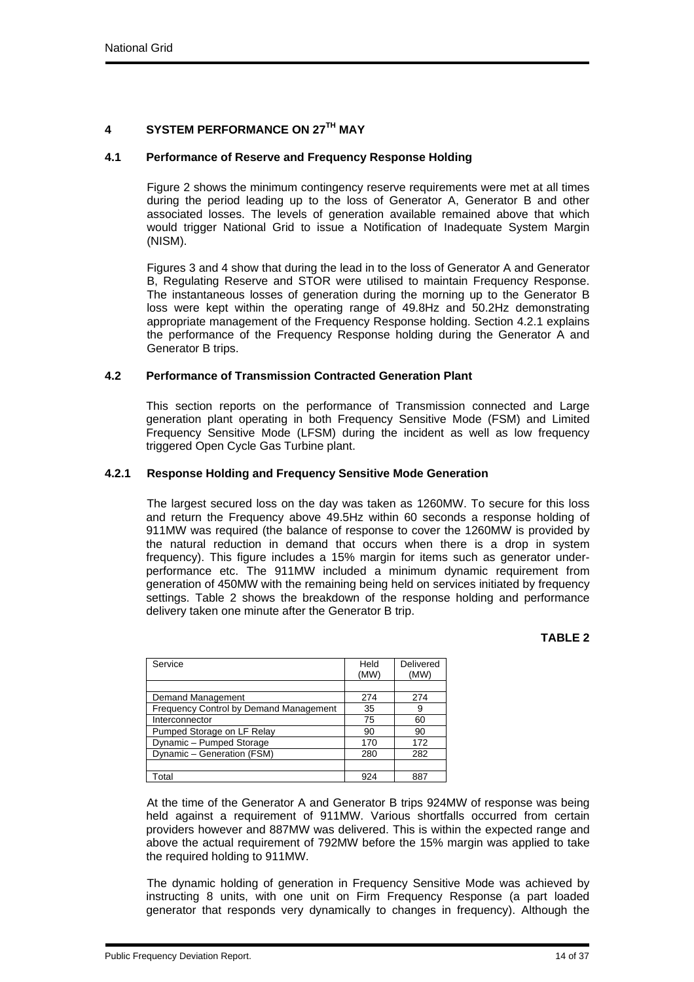# **4 SYSTEM PERFORMANCE ON 27TH MAY**

### **4.1 Performance of Reserve and Frequency Response Holding**

Figure 2 shows the minimum contingency reserve requirements were met at all times during the period leading up to the loss of Generator A, Generator B and other associated losses. The levels of generation available remained above that which would trigger National Grid to issue a Notification of Inadequate System Margin (NISM).

Figures 3 and 4 show that during the lead in to the loss of Generator A and Generator B, Regulating Reserve and STOR were utilised to maintain Frequency Response. The instantaneous losses of generation during the morning up to the Generator B loss were kept within the operating range of 49.8Hz and 50.2Hz demonstrating appropriate management of the Frequency Response holding. Section 4.2.1 explains the performance of the Frequency Response holding during the Generator A and Generator B trips.

## **4.2 Performance of Transmission Contracted Generation Plant**

This section reports on the performance of Transmission connected and Large generation plant operating in both Frequency Sensitive Mode (FSM) and Limited Frequency Sensitive Mode (LFSM) during the incident as well as low frequency triggered Open Cycle Gas Turbine plant.

### **4.2.1 Response Holding and Frequency Sensitive Mode Generation**

The largest secured loss on the day was taken as 1260MW. To secure for this loss and return the Frequency above 49.5Hz within 60 seconds a response holding of 911MW was required (the balance of response to cover the 1260MW is provided by the natural reduction in demand that occurs when there is a drop in system frequency). This figure includes a 15% margin for items such as generator underperformance etc. The 911MW included a minimum dynamic requirement from generation of 450MW with the remaining being held on services initiated by frequency settings. Table 2 shows the breakdown of the response holding and performance delivery taken one minute after the Generator B trip.

#### **TABLE 2**

| Service                                       | Held | Delivered |
|-----------------------------------------------|------|-----------|
|                                               | (MW) | (MW)      |
|                                               |      |           |
| Demand Management                             | 274  | 274       |
| <b>Frequency Control by Demand Management</b> | 35   | 9         |
| Interconnector                                | 75   | 60        |
| Pumped Storage on LF Relay                    | 90   | 90        |
| Dynamic - Pumped Storage                      | 170  | 172       |
| Dynamic - Generation (FSM)                    | 280  | 282       |
|                                               |      |           |
| Total                                         | 924  | 887       |

At the time of the Generator A and Generator B trips 924MW of response was being held against a requirement of 911MW. Various shortfalls occurred from certain providers however and 887MW was delivered. This is within the expected range and above the actual requirement of 792MW before the 15% margin was applied to take the required holding to 911MW.

The dynamic holding of generation in Frequency Sensitive Mode was achieved by instructing 8 units, with one unit on Firm Frequency Response (a part loaded generator that responds very dynamically to changes in frequency). Although the

Public Frequency Deviation Report. 2008 2012 12:30 12:30 14:37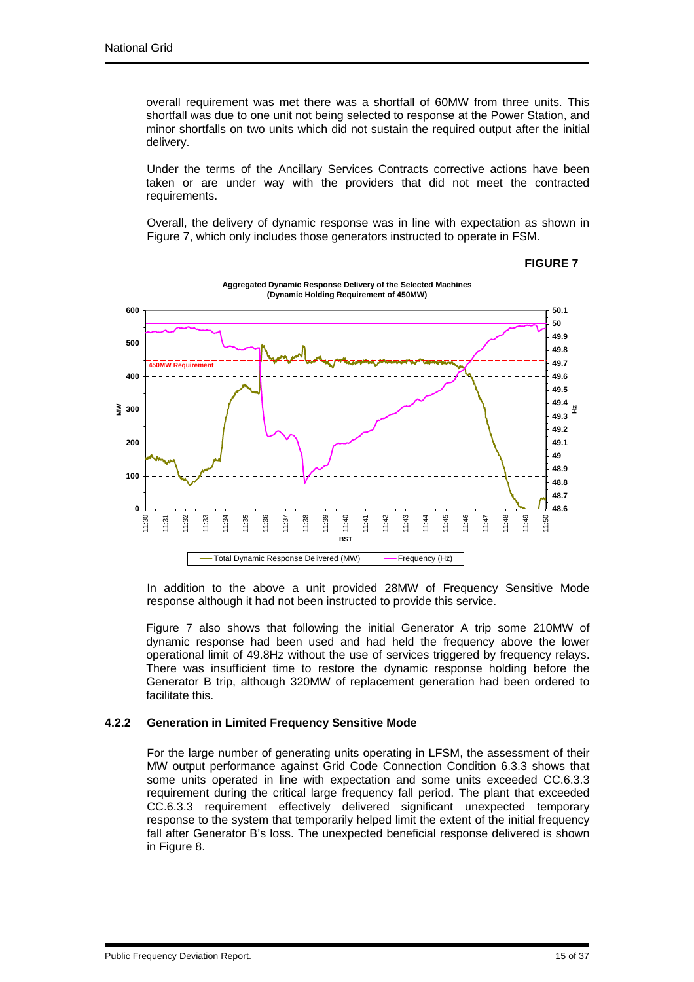overall requirement was met there was a shortfall of 60MW from three units. This shortfall was due to one unit not being selected to response at the Power Station, and minor shortfalls on two units which did not sustain the required output after the initial delivery.

Under the terms of the Ancillary Services Contracts corrective actions have been taken or are under way with the providers that did not meet the contracted requirements.

Overall, the delivery of dynamic response was in line with expectation as shown in Figure 7, which only includes those generators instructed to operate in FSM.



#### **FIGURE 7**

In addition to the above a unit provided 28MW of Frequency Sensitive Mode response although it had not been instructed to provide this service.

Figure 7 also shows that following the initial Generator A trip some 210MW of dynamic response had been used and had held the frequency above the lower operational limit of 49.8Hz without the use of services triggered by frequency relays. There was insufficient time to restore the dynamic response holding before the Generator B trip, although 320MW of replacement generation had been ordered to facilitate this.

## **4.2.2 Generation in Limited Frequency Sensitive Mode**

For the large number of generating units operating in LFSM, the assessment of their MW output performance against Grid Code Connection Condition 6.3.3 shows that some units operated in line with expectation and some units exceeded CC.6.3.3 requirement during the critical large frequency fall period. The plant that exceeded CC.6.3.3 requirement effectively delivered significant unexpected temporary response to the system that temporarily helped limit the extent of the initial frequency fall after Generator B's loss. The unexpected beneficial response delivered is shown in Figure 8.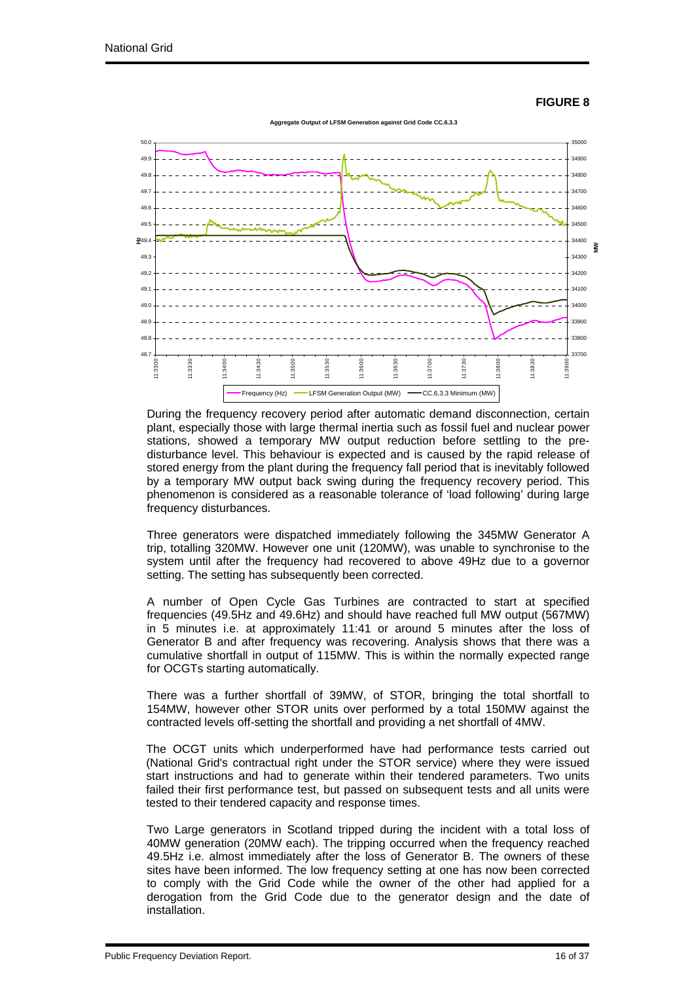#### **FIGURE 8**



During the frequency recovery period after automatic demand disconnection, certain plant, especially those with large thermal inertia such as fossil fuel and nuclear power stations, showed a temporary MW output reduction before settling to the predisturbance level. This behaviour is expected and is caused by the rapid release of stored energy from the plant during the frequency fall period that is inevitably followed by a temporary MW output back swing during the frequency recovery period. This phenomenon is considered as a reasonable tolerance of 'load following' during large frequency disturbances.

Three generators were dispatched immediately following the 345MW Generator A trip, totalling 320MW. However one unit (120MW), was unable to synchronise to the system until after the frequency had recovered to above 49Hz due to a governor setting. The setting has subsequently been corrected.

A number of Open Cycle Gas Turbines are contracted to start at specified frequencies (49.5Hz and 49.6Hz) and should have reached full MW output (567MW) in 5 minutes i.e. at approximately 11:41 or around 5 minutes after the loss of Generator B and after frequency was recovering. Analysis shows that there was a cumulative shortfall in output of 115MW. This is within the normally expected range for OCGTs starting automatically.

There was a further shortfall of 39MW, of STOR, bringing the total shortfall to 154MW, however other STOR units over performed by a total 150MW against the contracted levels off-setting the shortfall and providing a net shortfall of 4MW.

The OCGT units which underperformed have had performance tests carried out (National Grid's contractual right under the STOR service) where they were issued start instructions and had to generate within their tendered parameters. Two units failed their first performance test, but passed on subsequent tests and all units were tested to their tendered capacity and response times.

Two Large generators in Scotland tripped during the incident with a total loss of 40MW generation (20MW each). The tripping occurred when the frequency reached 49.5Hz i.e. almost immediately after the loss of Generator B. The owners of these sites have been informed. The low frequency setting at one has now been corrected to comply with the Grid Code while the owner of the other had applied for a derogation from the Grid Code due to the generator design and the date of installation.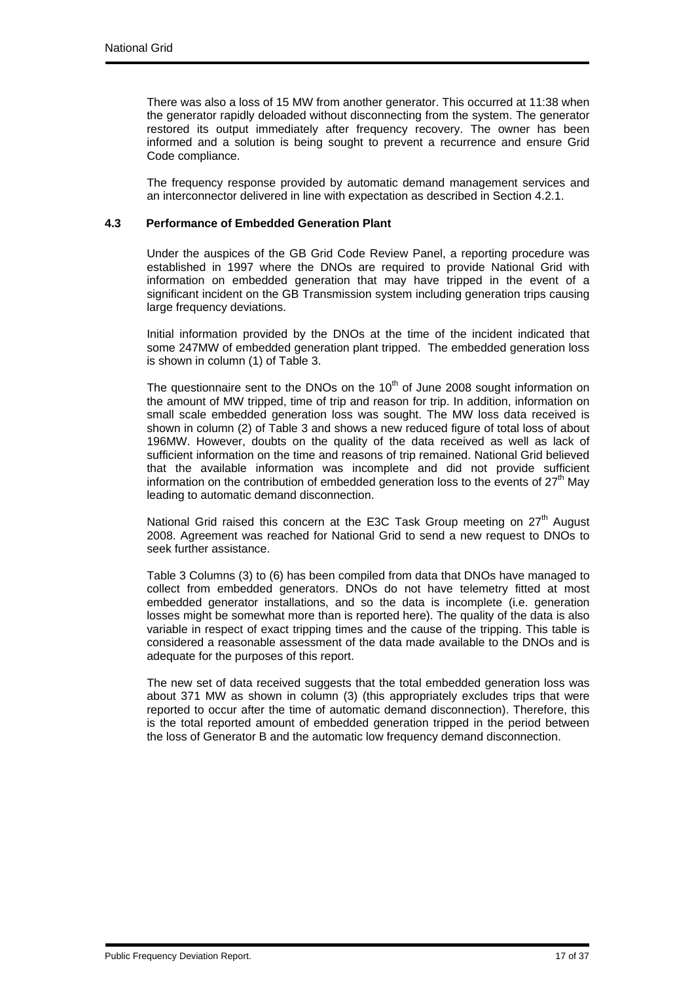There was also a loss of 15 MW from another generator. This occurred at 11:38 when the generator rapidly deloaded without disconnecting from the system. The generator restored its output immediately after frequency recovery. The owner has been informed and a solution is being sought to prevent a recurrence and ensure Grid Code compliance.

The frequency response provided by automatic demand management services and an interconnector delivered in line with expectation as described in Section 4.2.1.

## **4.3 Performance of Embedded Generation Plant**

Under the auspices of the GB Grid Code Review Panel, a reporting procedure was established in 1997 where the DNOs are required to provide National Grid with information on embedded generation that may have tripped in the event of a significant incident on the GB Transmission system including generation trips causing large frequency deviations.

Initial information provided by the DNOs at the time of the incident indicated that some 247MW of embedded generation plant tripped. The embedded generation loss is shown in column (1) of Table 3.

The questionnaire sent to the DNOs on the  $10<sup>th</sup>$  of June 2008 sought information on the amount of MW tripped, time of trip and reason for trip. In addition, information on small scale embedded generation loss was sought. The MW loss data received is shown in column (2) of Table 3 and shows a new reduced figure of total loss of about 196MW. However, doubts on the quality of the data received as well as lack of sufficient information on the time and reasons of trip remained. National Grid believed that the available information was incomplete and did not provide sufficient information on the contribution of embedded generation loss to the events of  $27<sup>th</sup>$  May leading to automatic demand disconnection.

National Grid raised this concern at the E3C Task Group meeting on  $27<sup>th</sup>$  August 2008. Agreement was reached for National Grid to send a new request to DNOs to seek further assistance.

Table 3 Columns (3) to (6) has been compiled from data that DNOs have managed to collect from embedded generators. DNOs do not have telemetry fitted at most embedded generator installations, and so the data is incomplete (i.e. generation losses might be somewhat more than is reported here). The quality of the data is also variable in respect of exact tripping times and the cause of the tripping. This table is considered a reasonable assessment of the data made available to the DNOs and is adequate for the purposes of this report.

The new set of data received suggests that the total embedded generation loss was about 371 MW as shown in column (3) (this appropriately excludes trips that were reported to occur after the time of automatic demand disconnection). Therefore, this is the total reported amount of embedded generation tripped in the period between the loss of Generator B and the automatic low frequency demand disconnection.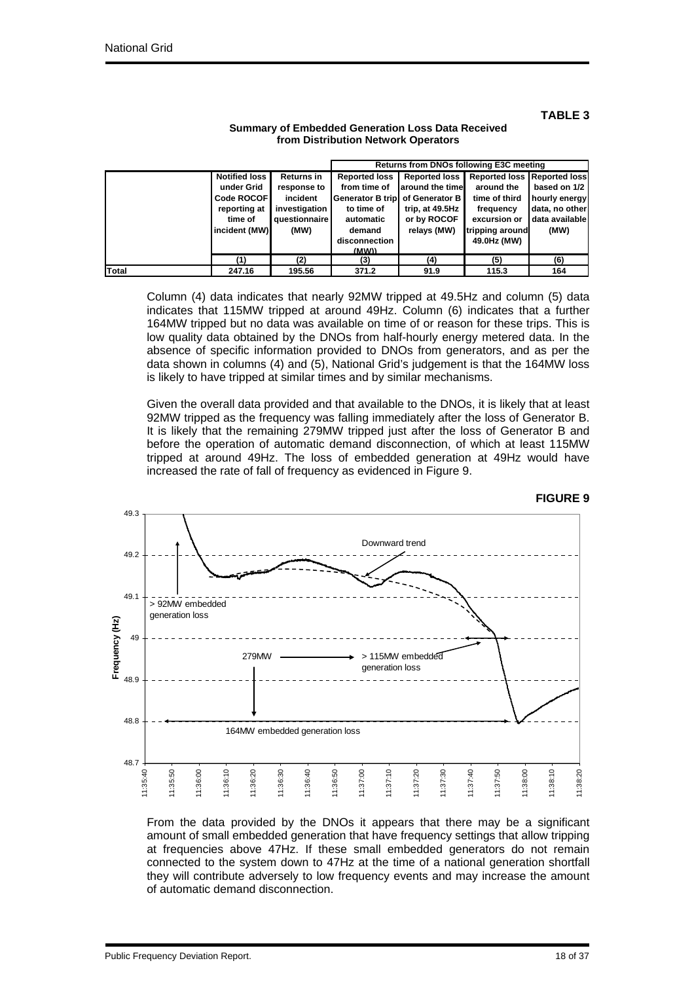**Notified loss under Grid Code ROCOF reporting at time of incident (MW) Returns in response to incident investigation questionnaire (MW) Reported loss from time of Generator B trip to time of automatic demand disconnection (MW)) Reported loss around the time of Generator B trip, at 49.5Hz or by ROCOF relays (MW) Reported loss around the time of third frequency excursion or tripping around 49.0Hz (MW) Reported loss based on 1/2 hourly energy data, no other data available (MW) (1) (2) (3) (4) (5) (6) Total 247.16 195.56 371.2 91.9 115.3 164 Returns from DNOs following E3C meeting**

## **Summary of Embedded Generation Loss Data Received from Distribution Network Operators**

Column (4) data indicates that nearly 92MW tripped at 49.5Hz and column (5) data indicates that 115MW tripped at around 49Hz. Column (6) indicates that a further 164MW tripped but no data was available on time of or reason for these trips. This is low quality data obtained by the DNOs from half-hourly energy metered data. In the absence of specific information provided to DNOs from generators, and as per the data shown in columns (4) and (5), National Grid's judgement is that the 164MW loss is likely to have tripped at similar times and by similar mechanisms.

Given the overall data provided and that available to the DNOs, it is likely that at least 92MW tripped as the frequency was falling immediately after the loss of Generator B. It is likely that the remaining 279MW tripped just after the loss of Generator B and before the operation of automatic demand disconnection, of which at least 115MW tripped at around 49Hz. The loss of embedded generation at 49Hz would have increased the rate of fall of frequency as evidenced in Figure 9.



From the data provided by the DNOs it appears that there may be a significant amount of small embedded generation that have frequency settings that allow tripping at frequencies above 47Hz. If these small embedded generators do not remain connected to the system down to 47Hz at the time of a national generation shortfall they will contribute adversely to low frequency events and may increase the amount of automatic demand disconnection.

#### **FIGURE 9**

**TABLE 3**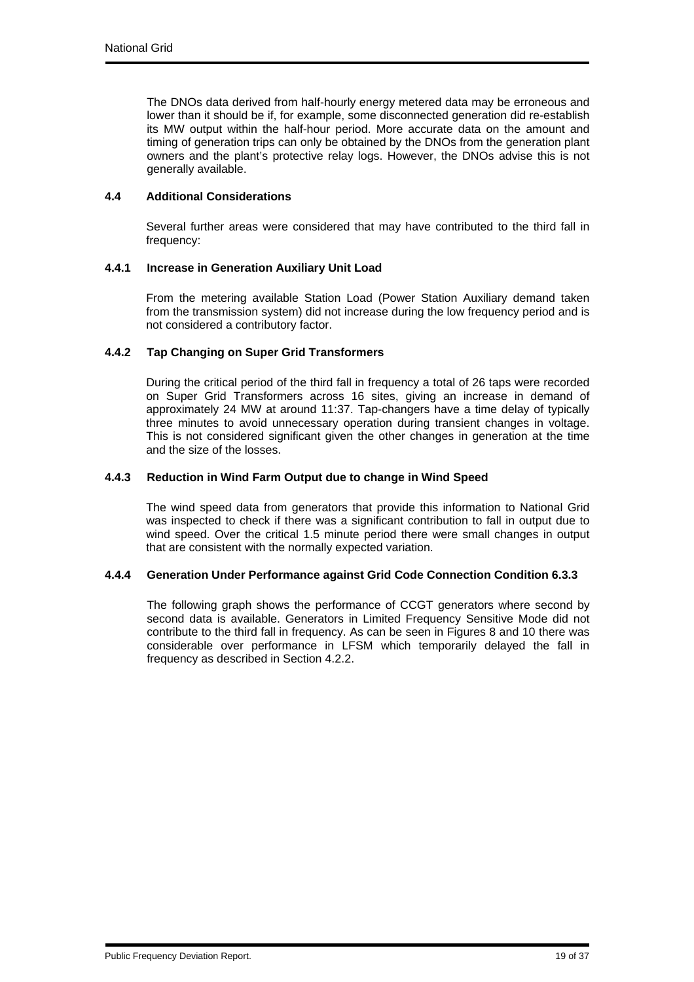The DNOs data derived from half-hourly energy metered data may be erroneous and lower than it should be if, for example, some disconnected generation did re-establish its MW output within the half-hour period. More accurate data on the amount and timing of generation trips can only be obtained by the DNOs from the generation plant owners and the plant's protective relay logs. However, the DNOs advise this is not generally available.

## **4.4 Additional Considerations**

Several further areas were considered that may have contributed to the third fall in frequency:

### **4.4.1 Increase in Generation Auxiliary Unit Load**

From the metering available Station Load (Power Station Auxiliary demand taken from the transmission system) did not increase during the low frequency period and is not considered a contributory factor.

### **4.4.2 Tap Changing on Super Grid Transformers**

During the critical period of the third fall in frequency a total of 26 taps were recorded on Super Grid Transformers across 16 sites, giving an increase in demand of approximately 24 MW at around 11:37. Tap-changers have a time delay of typically three minutes to avoid unnecessary operation during transient changes in voltage. This is not considered significant given the other changes in generation at the time and the size of the losses.

### **4.4.3 Reduction in Wind Farm Output due to change in Wind Speed**

The wind speed data from generators that provide this information to National Grid was inspected to check if there was a significant contribution to fall in output due to wind speed. Over the critical 1.5 minute period there were small changes in output that are consistent with the normally expected variation.

#### **4.4.4 Generation Under Performance against Grid Code Connection Condition 6.3.3**

The following graph shows the performance of CCGT generators where second by second data is available. Generators in Limited Frequency Sensitive Mode did not contribute to the third fall in frequency. As can be seen in Figures 8 and 10 there was considerable over performance in LFSM which temporarily delayed the fall in frequency as described in Section 4.2.2.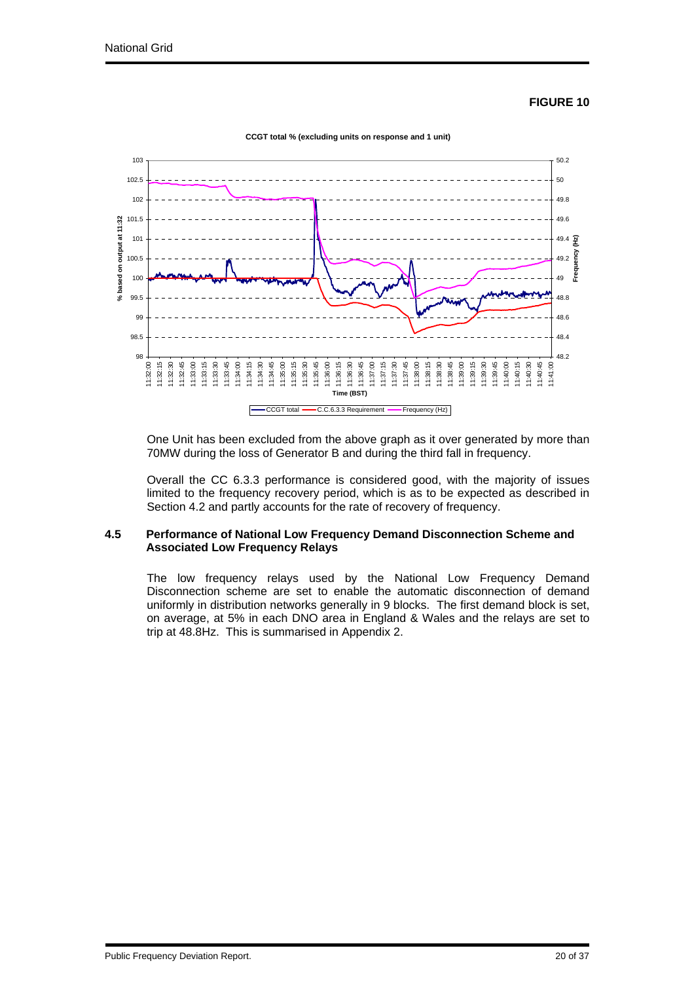#### **FIGURE 10**



One Unit has been excluded from the above graph as it over generated by more than 70MW during the loss of Generator B and during the third fall in frequency.

Overall the CC 6.3.3 performance is considered good, with the majority of issues limited to the frequency recovery period, which is as to be expected as described in Section 4.2 and partly accounts for the rate of recovery of frequency.

#### **4.5 Performance of National Low Frequency Demand Disconnection Scheme and Associated Low Frequency Relays**

The low frequency relays used by the National Low Frequency Demand Disconnection scheme are set to enable the automatic disconnection of demand uniformly in distribution networks generally in 9 blocks. The first demand block is set, on average, at 5% in each DNO area in England & Wales and the relays are set to trip at 48.8Hz. This is summarised in Appendix 2.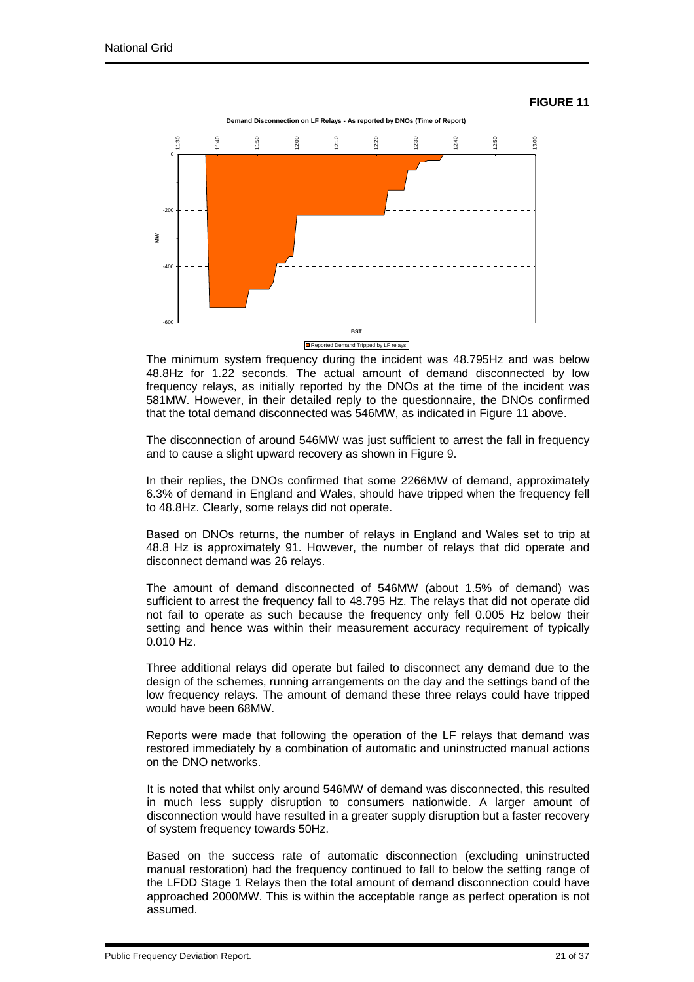#### **FIGURE 11**



The minimum system frequency during the incident was 48.795Hz and was below 48.8Hz for 1.22 seconds. The actual amount of demand disconnected by low frequency relays, as initially reported by the DNOs at the time of the incident was 581MW. However, in their detailed reply to the questionnaire, the DNOs confirmed that the total demand disconnected was 546MW, as indicated in Figure 11 above.

The disconnection of around 546MW was just sufficient to arrest the fall in frequency and to cause a slight upward recovery as shown in Figure 9.

In their replies, the DNOs confirmed that some 2266MW of demand, approximately 6.3% of demand in England and Wales, should have tripped when the frequency fell to 48.8Hz. Clearly, some relays did not operate.

Based on DNOs returns, the number of relays in England and Wales set to trip at 48.8 Hz is approximately 91. However, the number of relays that did operate and disconnect demand was 26 relays.

The amount of demand disconnected of 546MW (about 1.5% of demand) was sufficient to arrest the frequency fall to 48.795 Hz. The relays that did not operate did not fail to operate as such because the frequency only fell 0.005 Hz below their setting and hence was within their measurement accuracy requirement of typically 0.010 Hz.

Three additional relays did operate but failed to disconnect any demand due to the design of the schemes, running arrangements on the day and the settings band of the low frequency relays. The amount of demand these three relays could have tripped would have been 68MW.

Reports were made that following the operation of the LF relays that demand was restored immediately by a combination of automatic and uninstructed manual actions on the DNO networks.

It is noted that whilst only around 546MW of demand was disconnected, this resulted in much less supply disruption to consumers nationwide. A larger amount of disconnection would have resulted in a greater supply disruption but a faster recovery of system frequency towards 50Hz.

Based on the success rate of automatic disconnection (excluding uninstructed manual restoration) had the frequency continued to fall to below the setting range of the LFDD Stage 1 Relays then the total amount of demand disconnection could have approached 2000MW. This is within the acceptable range as perfect operation is not assumed.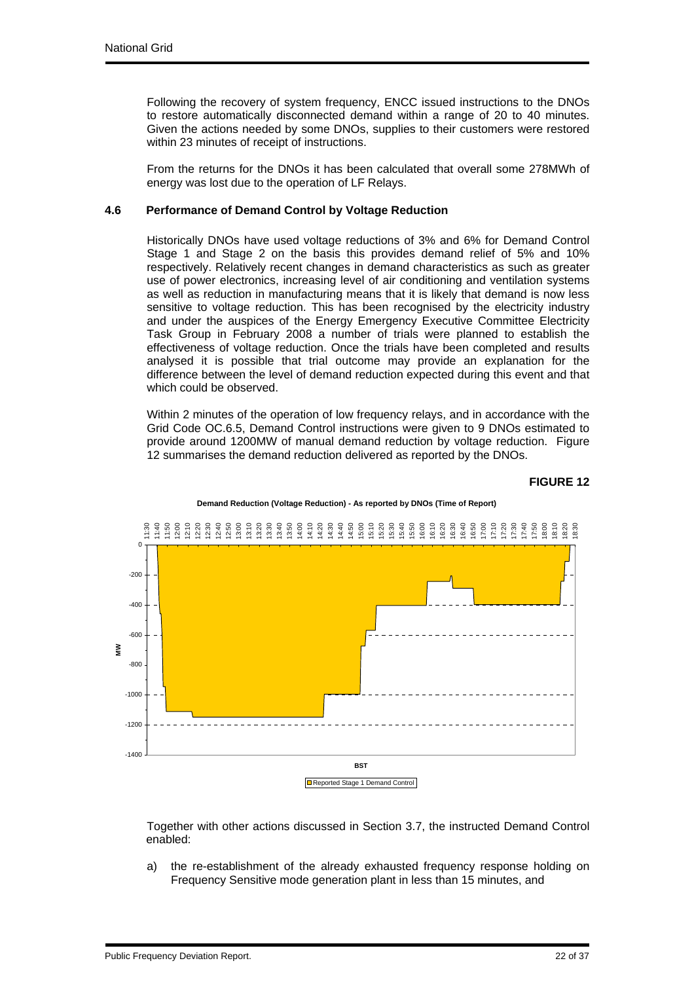Following the recovery of system frequency, ENCC issued instructions to the DNOs to restore automatically disconnected demand within a range of 20 to 40 minutes. Given the actions needed by some DNOs, supplies to their customers were restored within 23 minutes of receipt of instructions.

From the returns for the DNOs it has been calculated that overall some 278MWh of energy was lost due to the operation of LF Relays.

## **4.6 Performance of Demand Control by Voltage Reduction**

Historically DNOs have used voltage reductions of 3% and 6% for Demand Control Stage 1 and Stage 2 on the basis this provides demand relief of 5% and 10% respectively. Relatively recent changes in demand characteristics as such as greater use of power electronics, increasing level of air conditioning and ventilation systems as well as reduction in manufacturing means that it is likely that demand is now less sensitive to voltage reduction. This has been recognised by the electricity industry and under the auspices of the Energy Emergency Executive Committee Electricity Task Group in February 2008 a number of trials were planned to establish the effectiveness of voltage reduction. Once the trials have been completed and results analysed it is possible that trial outcome may provide an explanation for the difference between the level of demand reduction expected during this event and that which could be observed.

Within 2 minutes of the operation of low frequency relays, and in accordance with the Grid Code OC.6.5, Demand Control instructions were given to 9 DNOs estimated to provide around 1200MW of manual demand reduction by voltage reduction. Figure 12 summarises the demand reduction delivered as reported by the DNOs.

#### **FIGURE 12**



**Demand Reduction (Voltage Reduction) - As reported by DNOs (Time of Report)**

Together with other actions discussed in Section 3.7, the instructed Demand Control enabled:

a) the re-establishment of the already exhausted frequency response holding on Frequency Sensitive mode generation plant in less than 15 minutes, and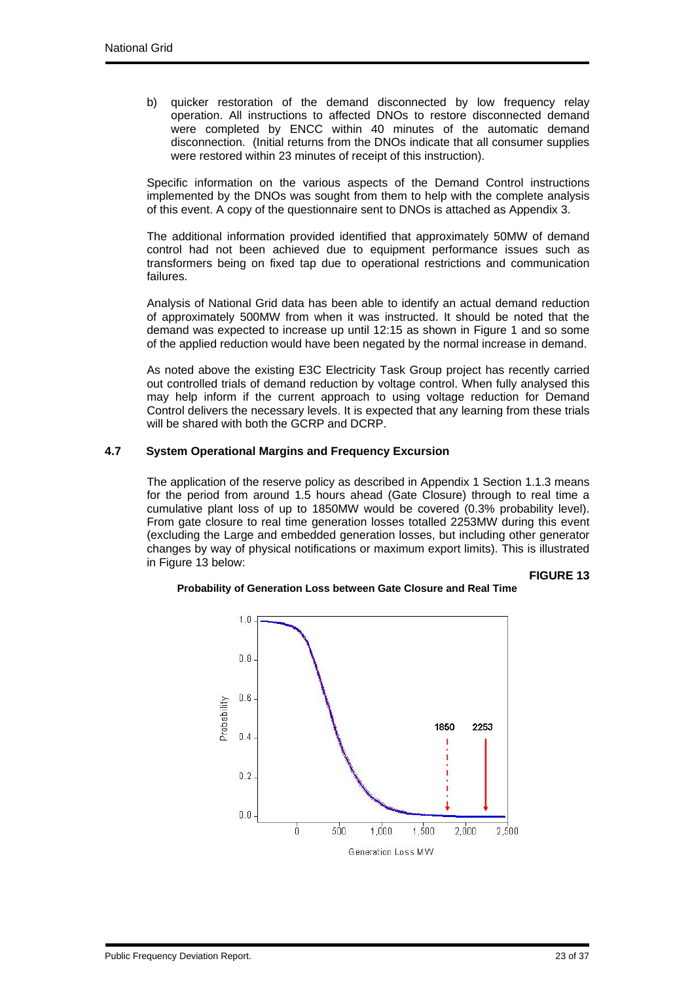b) quicker restoration of the demand disconnected by low frequency relay operation. All instructions to affected DNOs to restore disconnected demand were completed by ENCC within 40 minutes of the automatic demand disconnection. (Initial returns from the DNOs indicate that all consumer supplies were restored within 23 minutes of receipt of this instruction).

Specific information on the various aspects of the Demand Control instructions implemented by the DNOs was sought from them to help with the complete analysis of this event. A copy of the questionnaire sent to DNOs is attached as Appendix 3.

The additional information provided identified that approximately 50MW of demand control had not been achieved due to equipment performance issues such as transformers being on fixed tap due to operational restrictions and communication failures.

Analysis of National Grid data has been able to identify an actual demand reduction of approximately 500MW from when it was instructed. It should be noted that the demand was expected to increase up until 12:15 as shown in Figure 1 and so some of the applied reduction would have been negated by the normal increase in demand.

As noted above the existing E3C Electricity Task Group project has recently carried out controlled trials of demand reduction by voltage control. When fully analysed this may help inform if the current approach to using voltage reduction for Demand Control delivers the necessary levels. It is expected that any learning from these trials will be shared with both the GCRP and DCRP.

### **4.7 System Operational Margins and Frequency Excursion**

The application of the reserve policy as described in Appendix 1 Section 1.1.3 means for the period from around 1.5 hours ahead (Gate Closure) through to real time a cumulative plant loss of up to 1850MW would be covered (0.3% probability level). From gate closure to real time generation losses totalled 2253MW during this event (excluding the Large and embedded generation losses, but including other generator changes by way of physical notifications or maximum export limits). This is illustrated in Figure 13 below:

**FIGURE 13**



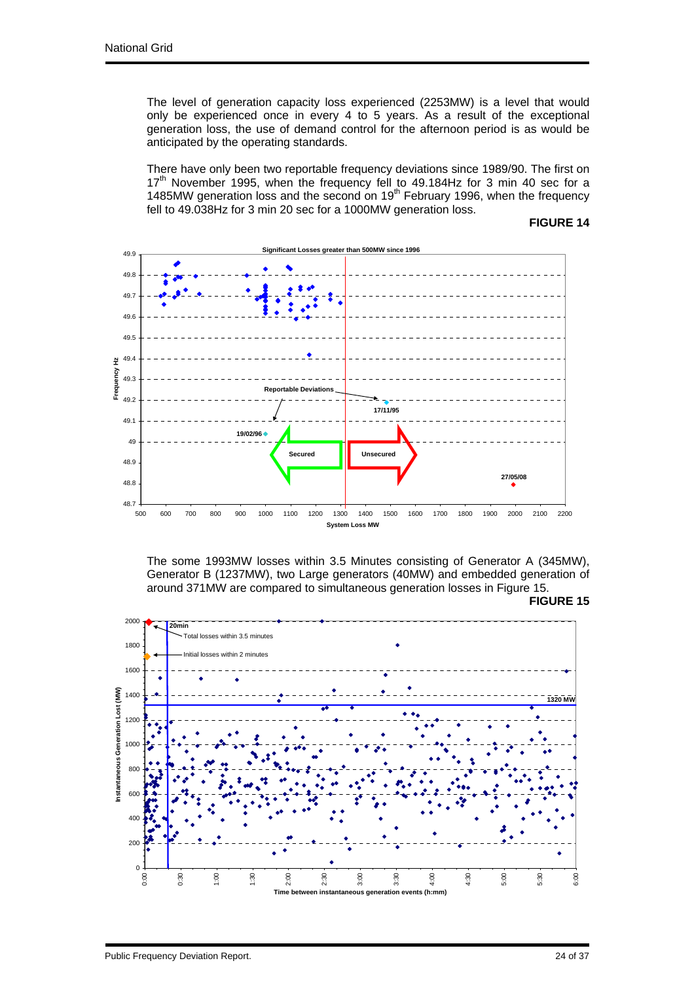The level of generation capacity loss experienced (2253MW) is a level that would only be experienced once in every 4 to 5 years. As a result of the exceptional generation loss, the use of demand control for the afternoon period is as would be anticipated by the operating standards.

There have only been two reportable frequency deviations since 1989/90. The first on 17<sup>th</sup> November 1995, when the frequency fell to 49.184Hz for 3 min 40 sec for a 1485MW generation loss and the second on 19<sup>th</sup> February 1996, when the frequency fell to 49.038Hz for 3 min 20 sec for a 1000MW generation loss.

## **FIGURE 14**



The some 1993MW losses within 3.5 Minutes consisting of Generator A (345MW), Generator B (1237MW), two Large generators (40MW) and embedded generation of around 371MW are compared to simultaneous generation losses in Figure 15.



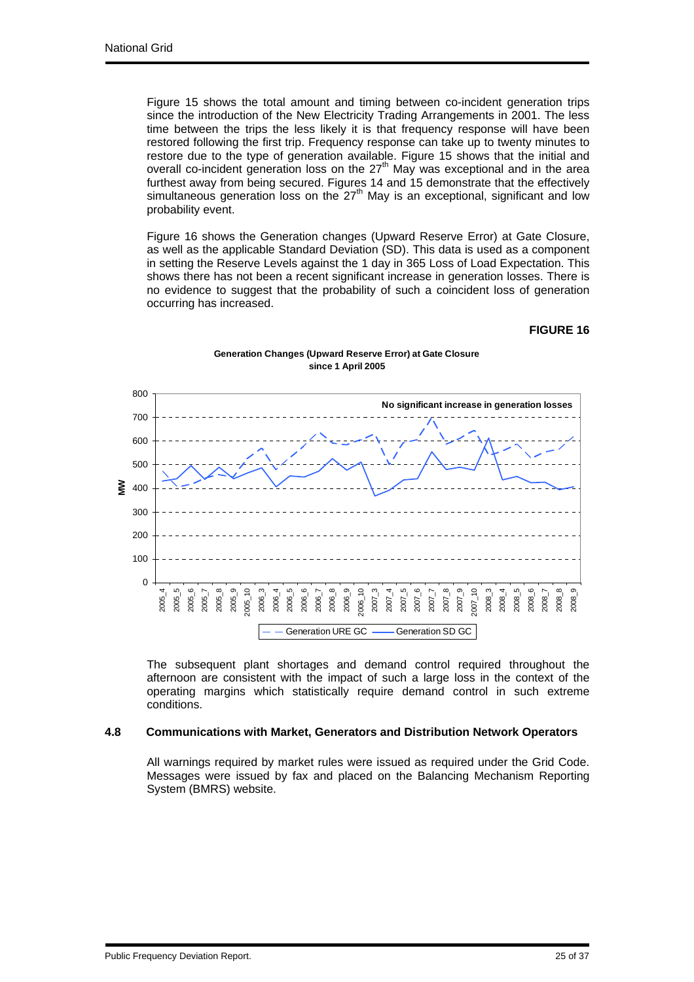Figure 15 shows the total amount and timing between co-incident generation trips since the introduction of the New Electricity Trading Arrangements in 2001. The less time between the trips the less likely it is that frequency response will have been restored following the first trip. Frequency response can take up to twenty minutes to restore due to the type of generation available. Figure 15 shows that the initial and overall co-incident generation loss on the 27th May was exceptional and in the area furthest away from being secured. Figures 14 and 15 demonstrate that the effectively simultaneous generation loss on the  $27<sup>th</sup>$  May is an exceptional, significant and low probability event.

Figure 16 shows the Generation changes (Upward Reserve Error) at Gate Closure, as well as the applicable Standard Deviation (SD). This data is used as a component in setting the Reserve Levels against the 1 day in 365 Loss of Load Expectation. This shows there has not been a recent significant increase in generation losses. There is no evidence to suggest that the probability of such a coincident loss of generation occurring has increased.

#### **FIGURE 16**



#### **Generation Changes (Upward Reserve Error) at Gate Closure since 1 April 2005**

The subsequent plant shortages and demand control required throughout the afternoon are consistent with the impact of such a large loss in the context of the operating margins which statistically require demand control in such extreme conditions.

#### **4.8 Communications with Market, Generators and Distribution Network Operators**

All warnings required by market rules were issued as required under the Grid Code. Messages were issued by fax and placed on the Balancing Mechanism Reporting System (BMRS) website.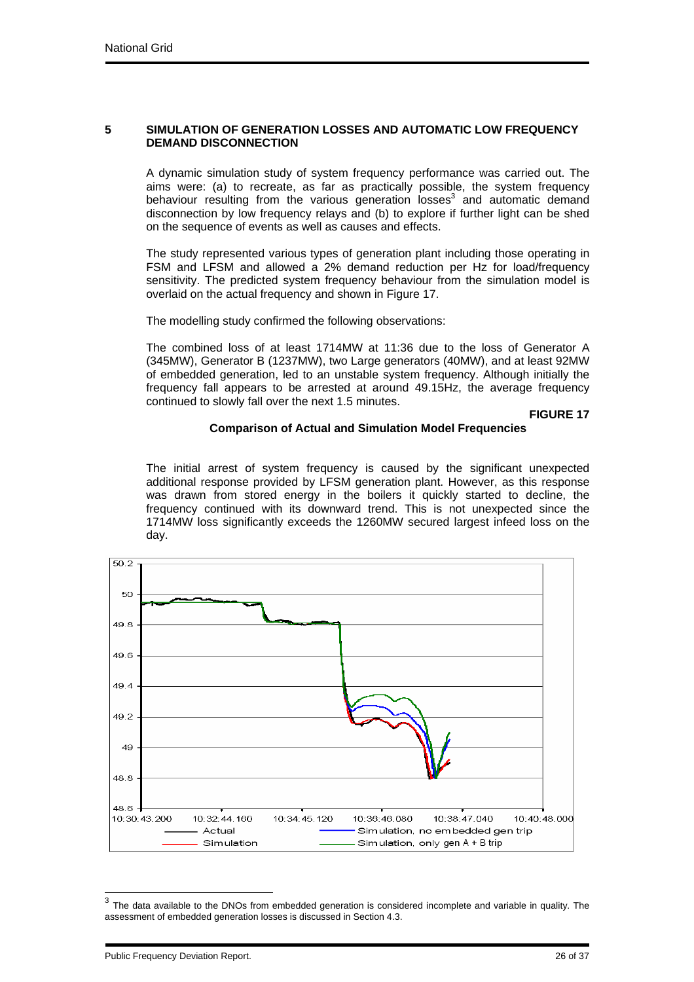#### **5 SIMULATION OF GENERATION LOSSES AND AUTOMATIC LOW FREQUENCY DEMAND DISCONNECTION**

A dynamic simulation study of system frequency performance was carried out. The aims were: (a) to recreate, as far as practically possible, the system frequency behaviour resulting from the various generation losses<sup>3</sup> and automatic demand disconnection by low frequency relays and (b) to explore if further light can be shed on the sequence of events as well as causes and effects.

The study represented various types of generation plant including those operating in FSM and LFSM and allowed a 2% demand reduction per Hz for load/frequency sensitivity. The predicted system frequency behaviour from the simulation model is overlaid on the actual frequency and shown in Figure 17.

The modelling study confirmed the following observations:

The combined loss of at least 1714MW at 11:36 due to the loss of Generator A (345MW), Generator B (1237MW), two Large generators (40MW), and at least 92MW of embedded generation, led to an unstable system frequency. Although initially the frequency fall appears to be arrested at around 49.15Hz, the average frequency continued to slowly fall over the next 1.5 minutes.

**FIGURE 17** 

### **Comparison of Actual and Simulation Model Frequencies**

The initial arrest of system frequency is caused by the significant unexpected additional response provided by LFSM generation plant. However, as this response was drawn from stored energy in the boilers it quickly started to decline, the frequency continued with its downward trend. This is not unexpected since the 1714MW loss significantly exceeds the 1260MW secured largest infeed loss on the day.



 $3$  The data available to the DNOs from embedded generation is considered incomplete and variable in quality. The assessment of embedded generation losses is discussed in Section 4.3.

Public Frequency Deviation Report. 26 of 37

l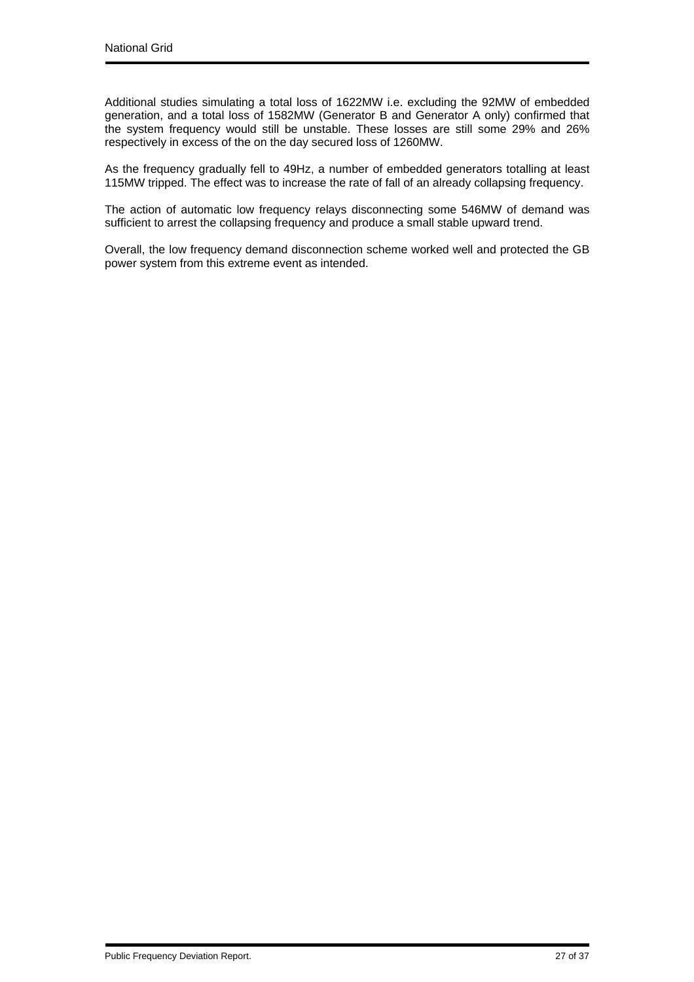Additional studies simulating a total loss of 1622MW i.e. excluding the 92MW of embedded generation, and a total loss of 1582MW (Generator B and Generator A only) confirmed that the system frequency would still be unstable. These losses are still some 29% and 26% respectively in excess of the on the day secured loss of 1260MW.

As the frequency gradually fell to 49Hz, a number of embedded generators totalling at least 115MW tripped. The effect was to increase the rate of fall of an already collapsing frequency.

The action of automatic low frequency relays disconnecting some 546MW of demand was sufficient to arrest the collapsing frequency and produce a small stable upward trend.

Overall, the low frequency demand disconnection scheme worked well and protected the GB power system from this extreme event as intended.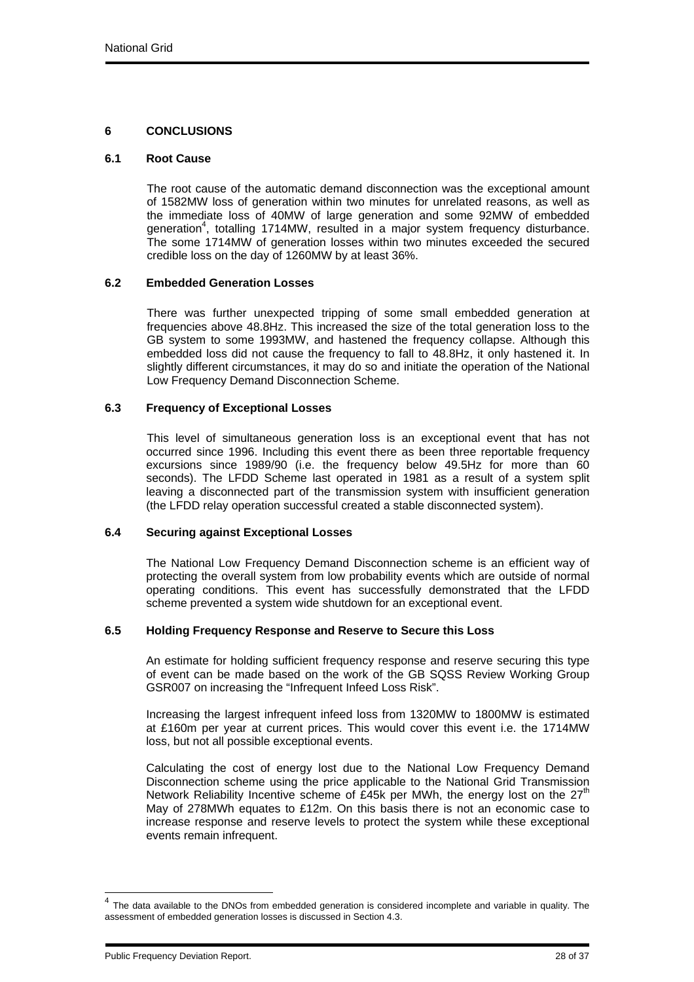## **6 CONCLUSIONS**

#### **6.1 Root Cause**

The root cause of the automatic demand disconnection was the exceptional amount of 1582MW loss of generation within two minutes for unrelated reasons, as well as the immediate loss of 40MW of large generation and some 92MW of embedded generation<sup>4</sup>, totalling 1714MW, resulted in a major system frequency disturbance. The some 1714MW of generation losses within two minutes exceeded the secured credible loss on the day of 1260MW by at least 36%.

### **6.2 Embedded Generation Losses**

There was further unexpected tripping of some small embedded generation at frequencies above 48.8Hz. This increased the size of the total generation loss to the GB system to some 1993MW, and hastened the frequency collapse. Although this embedded loss did not cause the frequency to fall to 48.8Hz, it only hastened it. In slightly different circumstances, it may do so and initiate the operation of the National Low Frequency Demand Disconnection Scheme.

### **6.3 Frequency of Exceptional Losses**

This level of simultaneous generation loss is an exceptional event that has not occurred since 1996. Including this event there as been three reportable frequency excursions since 1989/90 (i.e. the frequency below 49.5Hz for more than 60 seconds). The LFDD Scheme last operated in 1981 as a result of a system split leaving a disconnected part of the transmission system with insufficient generation (the LFDD relay operation successful created a stable disconnected system).

#### **6.4 Securing against Exceptional Losses**

The National Low Frequency Demand Disconnection scheme is an efficient way of protecting the overall system from low probability events which are outside of normal operating conditions. This event has successfully demonstrated that the LFDD scheme prevented a system wide shutdown for an exceptional event.

## **6.5 Holding Frequency Response and Reserve to Secure this Loss**

An estimate for holding sufficient frequency response and reserve securing this type of event can be made based on the work of the GB SQSS Review Working Group GSR007 on increasing the "Infrequent Infeed Loss Risk".

Increasing the largest infrequent infeed loss from 1320MW to 1800MW is estimated at £160m per year at current prices. This would cover this event i.e. the 1714MW loss, but not all possible exceptional events.

Calculating the cost of energy lost due to the National Low Frequency Demand Disconnection scheme using the price applicable to the National Grid Transmission Network Reliability Incentive scheme of £45k per MWh, the energy lost on the  $27<sup>th</sup>$ May of 278MWh equates to £12m. On this basis there is not an economic case to increase response and reserve levels to protect the system while these exceptional events remain infrequent.

l

 $<sup>4</sup>$  The data available to the DNOs from embedded generation is considered incomplete and variable in quality. The</sup> assessment of embedded generation losses is discussed in Section 4.3.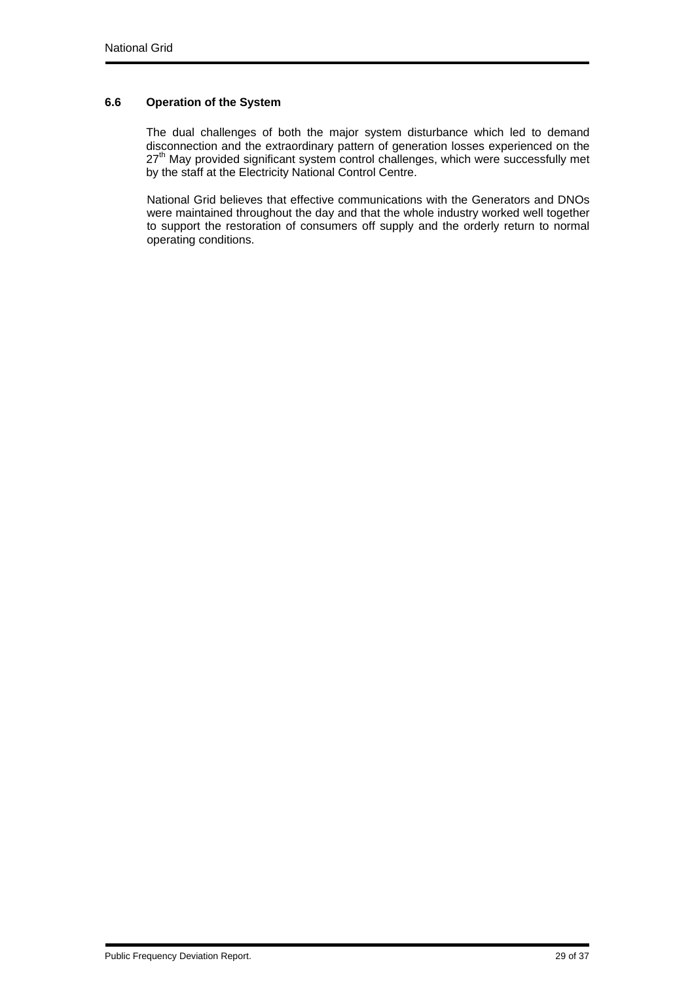## **6.6 Operation of the System**

The dual challenges of both the major system disturbance which led to demand disconnection and the extraordinary pattern of generation losses experienced on the  $27<sup>th</sup>$  May provided significant system control challenges, which were successfully met by the staff at the Electricity National Control Centre.

National Grid believes that effective communications with the Generators and DNOs were maintained throughout the day and that the whole industry worked well together to support the restoration of consumers off supply and the orderly return to normal operating conditions.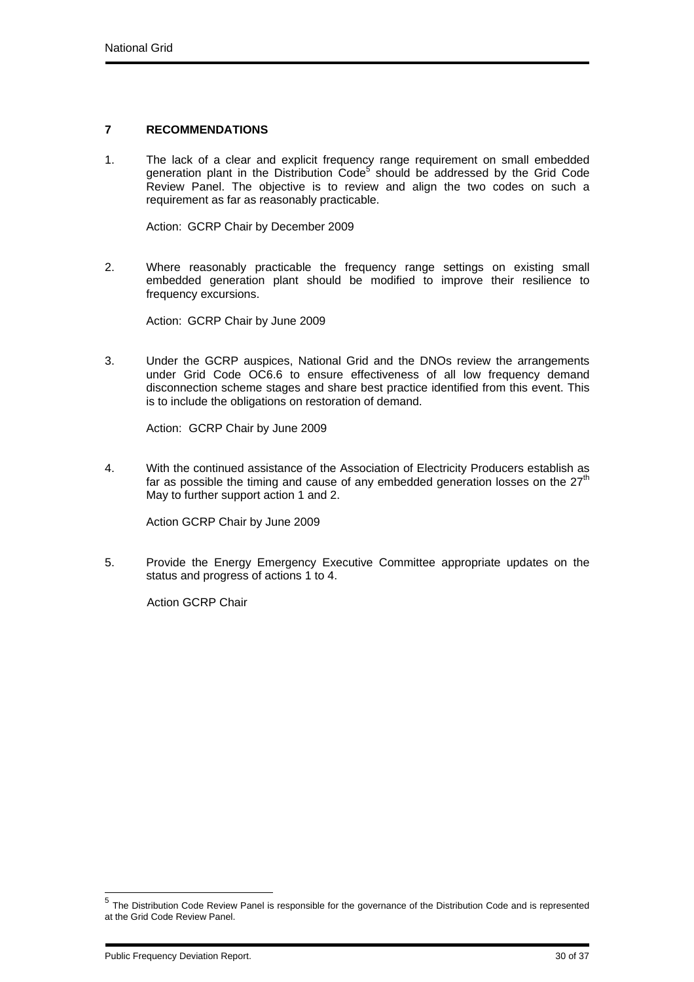## **7 RECOMMENDATIONS**

1. The lack of a clear and explicit frequency range requirement on small embedded generation plant in the Distribution Code<sup>5</sup> should be addressed by the Grid Code Review Panel. The objective is to review and align the two codes on such a requirement as far as reasonably practicable.

Action: GCRP Chair by December 2009

2. Where reasonably practicable the frequency range settings on existing small embedded generation plant should be modified to improve their resilience to frequency excursions.

Action: GCRP Chair by June 2009

3. Under the GCRP auspices, National Grid and the DNOs review the arrangements under Grid Code OC6.6 to ensure effectiveness of all low frequency demand disconnection scheme stages and share best practice identified from this event. This is to include the obligations on restoration of demand.

Action: GCRP Chair by June 2009

4. With the continued assistance of the Association of Electricity Producers establish as far as possible the timing and cause of any embedded generation losses on the  $27<sup>th</sup>$ May to further support action 1 and 2.

Action GCRP Chair by June 2009

5. Provide the Energy Emergency Executive Committee appropriate updates on the status and progress of actions 1 to 4.

Action GCRP Chair

l

<sup>&</sup>lt;sup>5</sup> The Distribution Code Review Panel is responsible for the governance of the Distribution Code and is represented at the Grid Code Review Panel.

Public Frequency Deviation Report. 30 of 37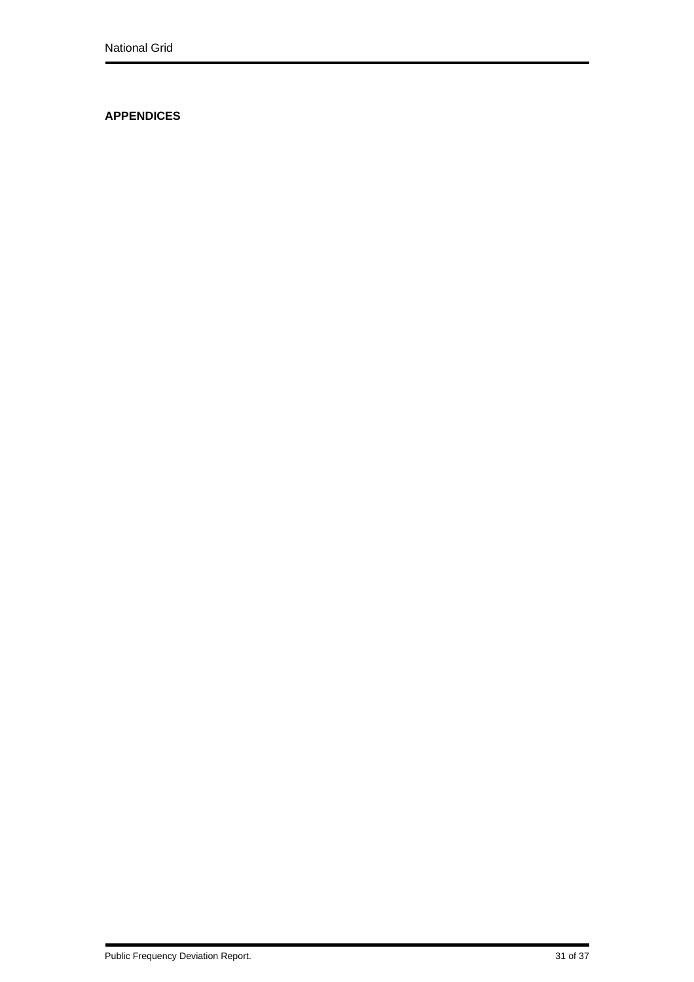# **APPENDICES**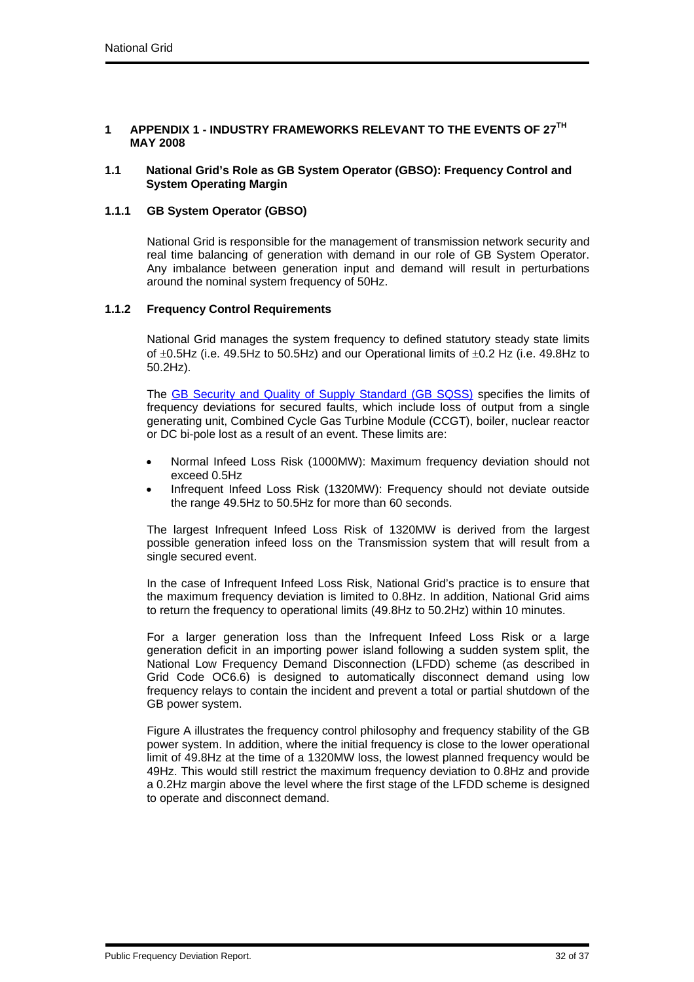### **1 APPENDIX 1 - INDUSTRY FRAMEWORKS RELEVANT TO THE EVENTS OF 27TH MAY 2008**

#### **1.1 National Grid's Role as GB System Operator (GBSO): Frequency Control and System Operating Margin**

## **1.1.1 GB System Operator (GBSO)**

National Grid is responsible for the management of transmission network security and real time balancing of generation with demand in our role of GB System Operator. Any imbalance between generation input and demand will result in perturbations around the nominal system frequency of 50Hz.

### **1.1.2 Frequency Control Requirements**

National Grid manages the system frequency to defined statutory steady state limits of  $\pm 0.5$ Hz (i.e. 49.5Hz to 50.5Hz) and our Operational limits of  $\pm 0.2$  Hz (i.e. 49.8Hz to 50.2Hz).

The GB Security and Quality of Supply Standard (GB SQSS) specifies the limits of frequency deviations for secured faults, which include loss of output from a single generating unit, Combined Cycle Gas Turbine Module (CCGT), boiler, nuclear reactor or DC bi-pole lost as a result of an event. These limits are:

- Normal Infeed Loss Risk (1000MW): Maximum frequency deviation should not exceed 0.5Hz
- Infrequent Infeed Loss Risk (1320MW): Frequency should not deviate outside the range 49.5Hz to 50.5Hz for more than 60 seconds.

The largest Infrequent Infeed Loss Risk of 1320MW is derived from the largest possible generation infeed loss on the Transmission system that will result from a single secured event.

In the case of Infrequent Infeed Loss Risk, National Grid's practice is to ensure that the maximum frequency deviation is limited to 0.8Hz. In addition, National Grid aims to return the frequency to operational limits (49.8Hz to 50.2Hz) within 10 minutes.

For a larger generation loss than the Infrequent Infeed Loss Risk or a large generation deficit in an importing power island following a sudden system split, the National Low Frequency Demand Disconnection (LFDD) scheme (as described in Grid Code OC6.6) is designed to automatically disconnect demand using low frequency relays to contain the incident and prevent a total or partial shutdown of the GB power system.

Figure A illustrates the frequency control philosophy and frequency stability of the GB power system. In addition, where the initial frequency is close to the lower operational limit of 49.8Hz at the time of a 1320MW loss, the lowest planned frequency would be 49Hz. This would still restrict the maximum frequency deviation to 0.8Hz and provide a 0.2Hz margin above the level where the first stage of the LFDD scheme is designed to operate and disconnect demand.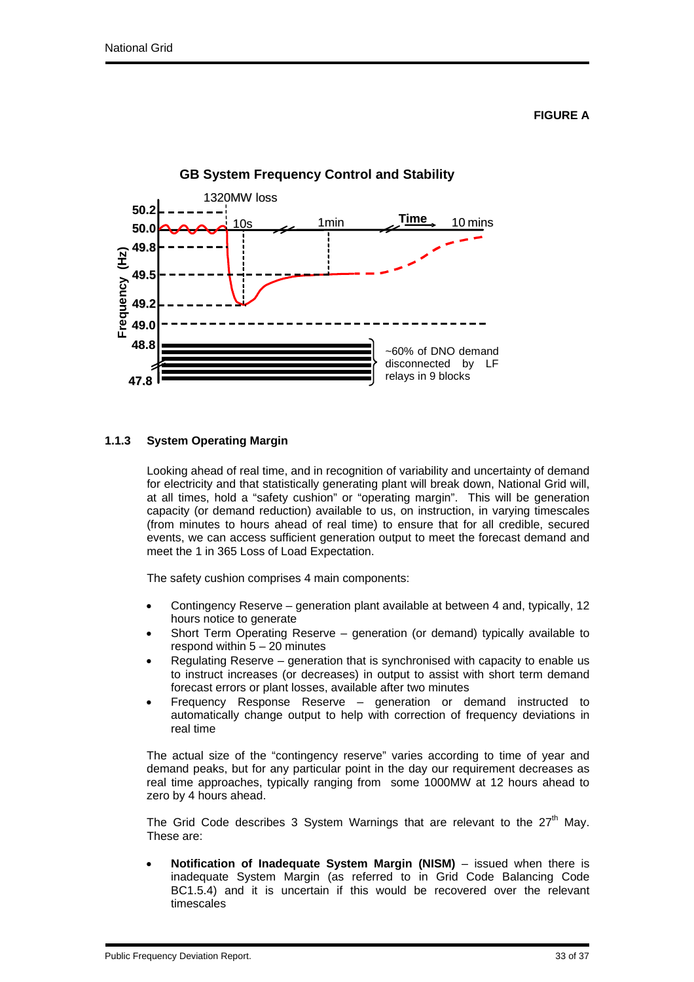

## **1.1.3 System Operating Margin**

Looking ahead of real time, and in recognition of variability and uncertainty of demand for electricity and that statistically generating plant will break down, National Grid will, at all times, hold a "safety cushion" or "operating margin". This will be generation capacity (or demand reduction) available to us, on instruction, in varying timescales (from minutes to hours ahead of real time) to ensure that for all credible, secured events, we can access sufficient generation output to meet the forecast demand and meet the 1 in 365 Loss of Load Expectation.

The safety cushion comprises 4 main components:

- Contingency Reserve generation plant available at between 4 and, typically, 12 hours notice to generate
- Short Term Operating Reserve generation (or demand) typically available to respond within  $5 - 20$  minutes
- Regulating Reserve generation that is synchronised with capacity to enable us to instruct increases (or decreases) in output to assist with short term demand forecast errors or plant losses, available after two minutes
- Frequency Response Reserve generation or demand instructed to automatically change output to help with correction of frequency deviations in real time

The actual size of the "contingency reserve" varies according to time of year and demand peaks, but for any particular point in the day our requirement decreases as real time approaches, typically ranging from some 1000MW at 12 hours ahead to zero by 4 hours ahead.

The Grid Code describes 3 System Warnings that are relevant to the  $27<sup>th</sup>$  May. These are:

• **Notification of Inadequate System Margin (NISM)** – issued when there is inadequate System Margin (as referred to in Grid Code Balancing Code BC1.5.4) and it is uncertain if this would be recovered over the relevant timescales

Public Frequency Deviation Report. 33 of 37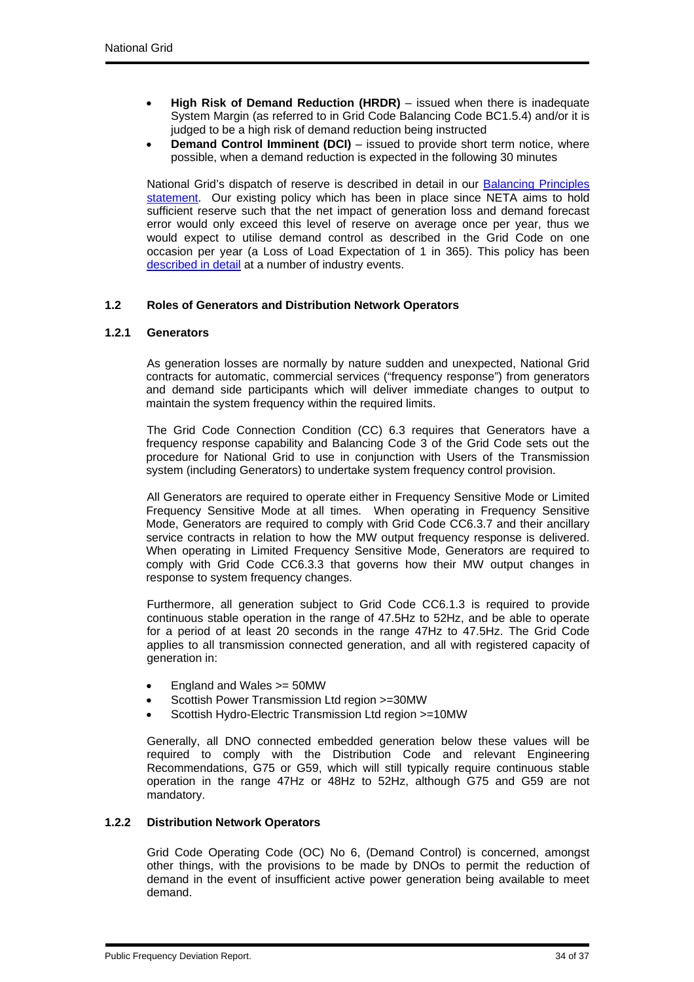- **High Risk of Demand Reduction (HRDR)** issued when there is inadequate System Margin (as referred to in Grid Code Balancing Code BC1.5.4) and/or it is judged to be a high risk of demand reduction being instructed
- **Demand Control Imminent (DCI)** issued to provide short term notice, where possible, when a demand reduction is expected in the following 30 minutes

National Grid's dispatch of reserve is described in detail in our Balancing Principles statement. Our existing policy which has been in place since NETA aims to hold sufficient reserve such that the net impact of generation loss and demand forecast error would only exceed this level of reserve on average once per year, thus we would expect to utilise demand control as described in the Grid Code on one occasion per year (a Loss of Load Expectation of 1 in 365). This policy has been described in detail at a number of industry events.

## **1.2 Roles of Generators and Distribution Network Operators**

## **1.2.1 Generators**

As generation losses are normally by nature sudden and unexpected, National Grid contracts for automatic, commercial services ("frequency response") from generators and demand side participants which will deliver immediate changes to output to maintain the system frequency within the required limits.

The Grid Code Connection Condition (CC) 6.3 requires that Generators have a frequency response capability and Balancing Code 3 of the Grid Code sets out the procedure for National Grid to use in conjunction with Users of the Transmission system (including Generators) to undertake system frequency control provision.

All Generators are required to operate either in Frequency Sensitive Mode or Limited Frequency Sensitive Mode at all times. When operating in Frequency Sensitive Mode, Generators are required to comply with Grid Code CC6.3.7 and their ancillary service contracts in relation to how the MW output frequency response is delivered. When operating in Limited Frequency Sensitive Mode, Generators are required to comply with Grid Code CC6.3.3 that governs how their MW output changes in response to system frequency changes.

Furthermore, all generation subject to Grid Code CC6.1.3 is required to provide continuous stable operation in the range of 47.5Hz to 52Hz, and be able to operate for a period of at least 20 seconds in the range 47Hz to 47.5Hz. The Grid Code applies to all transmission connected generation, and all with registered capacity of generation in:

- England and Wales >= 50MW
- Scottish Power Transmission Ltd region >=30MW
- Scottish Hydro-Electric Transmission Ltd region >=10MW

Generally, all DNO connected embedded generation below these values will be required to comply with the Distribution Code and relevant Engineering Recommendations, G75 or G59, which will still typically require continuous stable operation in the range 47Hz or 48Hz to 52Hz, although G75 and G59 are not mandatory.

## **1.2.2 Distribution Network Operators**

Grid Code Operating Code (OC) No 6, (Demand Control) is concerned, amongst other things, with the provisions to be made by DNOs to permit the reduction of demand in the event of insufficient active power generation being available to meet demand.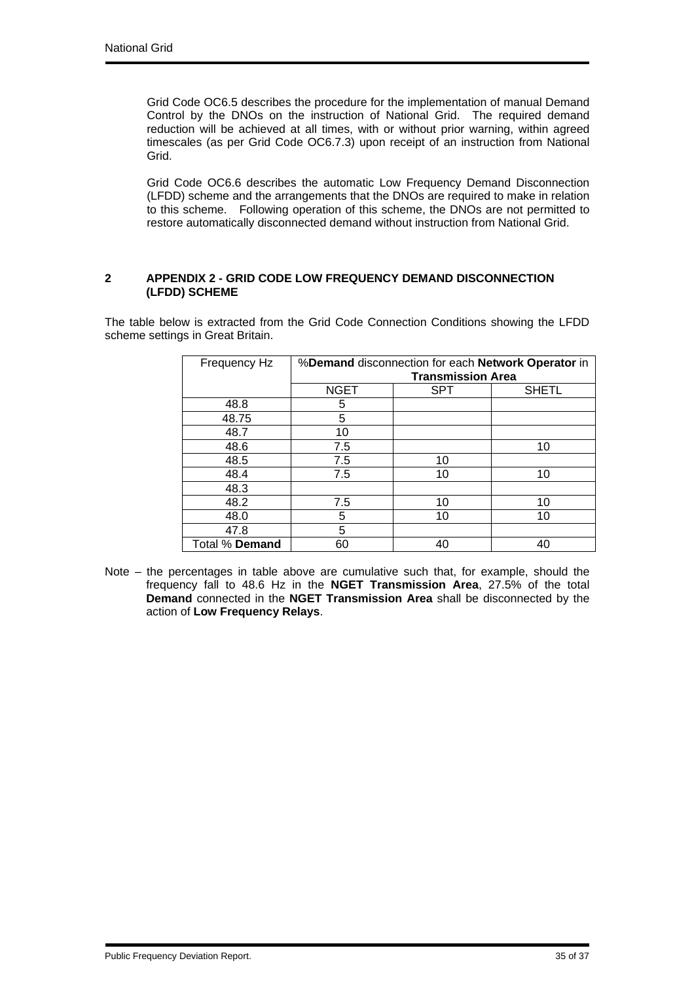Grid Code OC6.5 describes the procedure for the implementation of manual Demand Control by the DNOs on the instruction of National Grid. The required demand reduction will be achieved at all times, with or without prior warning, within agreed timescales (as per Grid Code OC6.7.3) upon receipt of an instruction from National Grid.

Grid Code OC6.6 describes the automatic Low Frequency Demand Disconnection (LFDD) scheme and the arrangements that the DNOs are required to make in relation to this scheme. Following operation of this scheme, the DNOs are not permitted to restore automatically disconnected demand without instruction from National Grid.

## **2 APPENDIX 2 - GRID CODE LOW FREQUENCY DEMAND DISCONNECTION (LFDD) SCHEME**

The table below is extracted from the Grid Code Connection Conditions showing the LFDD scheme settings in Great Britain.

| Frequency Hz   | %Demand disconnection for each Network Operator in<br><b>Transmission Area</b> |            |              |
|----------------|--------------------------------------------------------------------------------|------------|--------------|
|                |                                                                                |            |              |
|                | <b>NGET</b>                                                                    | <b>SPT</b> | <b>SHETL</b> |
| 48.8           | 5                                                                              |            |              |
| 48.75          | 5                                                                              |            |              |
| 48.7           | 10                                                                             |            |              |
| 48.6           | 7.5                                                                            |            | 10           |
| 48.5           | 7.5                                                                            | 10         |              |
| 48.4           | 7.5                                                                            | 10         | 10           |
| 48.3           |                                                                                |            |              |
| 48.2           | 7.5                                                                            | 10         | 10           |
| 48.0           | 5                                                                              | 10         | 10           |
| 47.8           | 5                                                                              |            |              |
| Total % Demand | 60                                                                             | 40         |              |

Note – the percentages in table above are cumulative such that, for example, should the frequency fall to 48.6 Hz in the **NGET Transmission Area**, 27.5% of the total **Demand** connected in the **NGET Transmission Area** shall be disconnected by the action of **Low Frequency Relays**.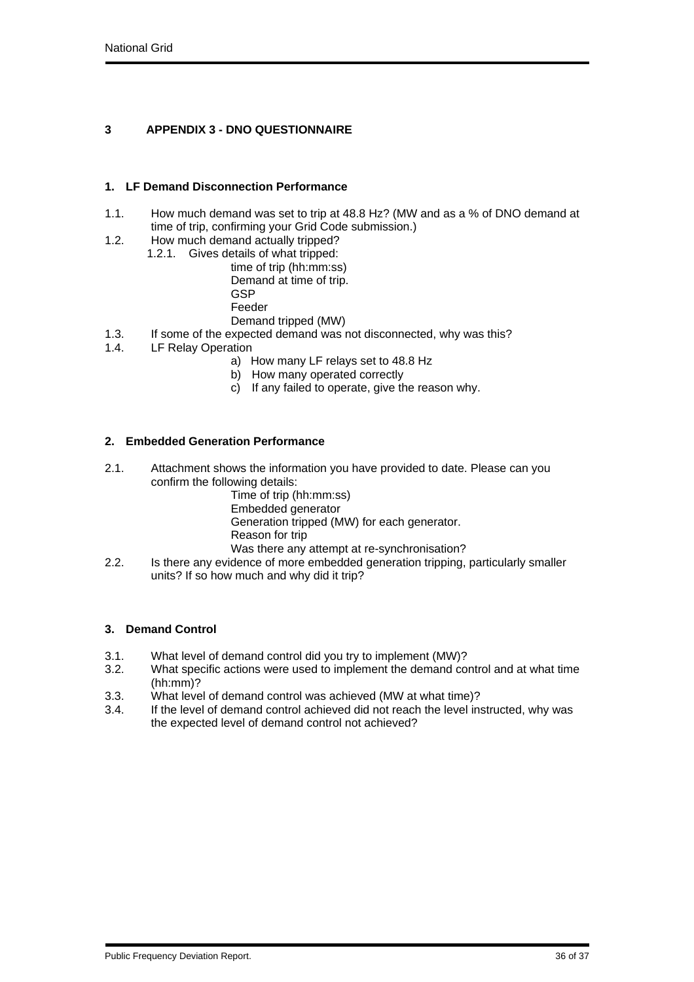# **3 APPENDIX 3 - DNO QUESTIONNAIRE**

## **1. LF Demand Disconnection Performance**

- 1.1. How much demand was set to trip at 48.8 Hz? (MW and as a % of DNO demand at time of trip, confirming your Grid Code submission.)
- 1.2. How much demand actually tripped?
	- 1.2.1. Gives details of what tripped:
		- time of trip (hh:mm:ss) Demand at time of trip.
		- **GSP**
		- Feeder
		- Demand tripped (MW)
- 1.3. If some of the expected demand was not disconnected, why was this?
- 1.4. LF Relay Operation
	- a) How many LF relays set to 48.8 Hz
	- b) How many operated correctly
	- c) If any failed to operate, give the reason why.

## **2. Embedded Generation Performance**

- 2.1. Attachment shows the information you have provided to date. Please can you confirm the following details:
	- Time of trip (hh:mm:ss)
	- Embedded generator
	- Generation tripped (MW) for each generator.
	- Reason for trip
	- Was there any attempt at re-synchronisation?
- 2.2. Is there any evidence of more embedded generation tripping, particularly smaller units? If so how much and why did it trip?

## **3. Demand Control**

- 3.1. What level of demand control did you try to implement (MW)?<br>3.2. What specific actions were used to implement the demand co
- What specific actions were used to implement the demand control and at what time  $(hh:mm)$ ?
- 3.3. What level of demand control was achieved (MW at what time)?
- 3.4. If the level of demand control achieved did not reach the level instructed, why was the expected level of demand control not achieved?